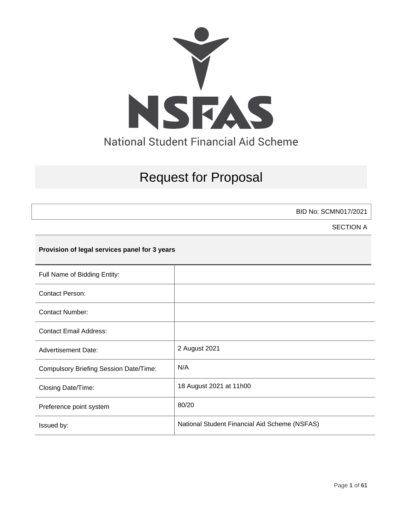

# Request for Proposal

BID No: SCMN017/2021

SECTION A

## **Provision of legal services panel for 3 years**

| Full Name of Bidding Entity:                  |                                               |
|-----------------------------------------------|-----------------------------------------------|
| <b>Contact Person:</b>                        |                                               |
| <b>Contact Number:</b>                        |                                               |
| <b>Contact Email Address:</b>                 |                                               |
| <b>Advertisement Date:</b>                    | 2 August 2021                                 |
| <b>Compulsory Briefing Session Date/Time:</b> | N/A                                           |
| Closing Date/Time:                            | 18 August 2021 at 11h00                       |
| Preference point system                       | 80/20                                         |
| Issued by:                                    | National Student Financial Aid Scheme (NSFAS) |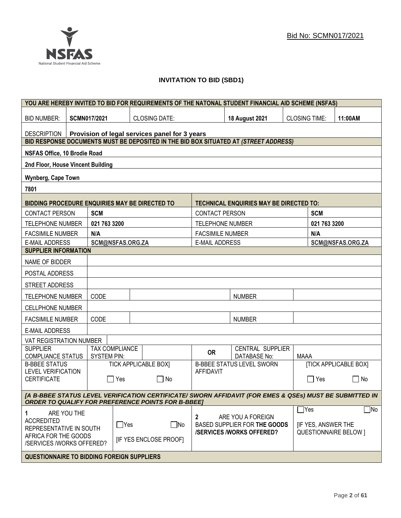## **INVITATION TO BID (SBD1)**

| YOU ARE HEREBY INVITED TO BID FOR REQUIREMENTS OF THE NATONAL STUDENT FINANCIAL AID SCHEME (NSFAS)                                                                   |                                                                      |                                                                                     |                                                                 |                         |                                                |             |              |                              |
|----------------------------------------------------------------------------------------------------------------------------------------------------------------------|----------------------------------------------------------------------|-------------------------------------------------------------------------------------|-----------------------------------------------------------------|-------------------------|------------------------------------------------|-------------|--------------|------------------------------|
| <b>BID NUMBER:</b>                                                                                                                                                   | <b>SCMN017/2021</b><br><b>CLOSING DATE:</b><br><b>18 August 2021</b> |                                                                                     |                                                                 | <b>CLOSING TIME:</b>    |                                                | 11:00AM     |              |                              |
| <b>DESCRIPTION</b>                                                                                                                                                   | Provision of legal services panel for 3 years                        |                                                                                     |                                                                 |                         |                                                |             |              |                              |
| BID RESPONSE DOCUMENTS MUST BE DEPOSITED IN THE BID BOX SITUATED AT (STREET ADDRESS)                                                                                 |                                                                      |                                                                                     |                                                                 |                         |                                                |             |              |                              |
| NSFAS Office, 10 Brodie Road                                                                                                                                         |                                                                      |                                                                                     |                                                                 |                         |                                                |             |              |                              |
| 2nd Floor, House Vincent Building                                                                                                                                    |                                                                      |                                                                                     |                                                                 |                         |                                                |             |              |                              |
| Wynberg, Cape Town                                                                                                                                                   |                                                                      |                                                                                     |                                                                 |                         |                                                |             |              |                              |
| 7801                                                                                                                                                                 |                                                                      |                                                                                     |                                                                 |                         |                                                |             |              |                              |
| <b>BIDDING PROCEDURE ENQUIRIES MAY BE DIRECTED TO</b>                                                                                                                |                                                                      |                                                                                     |                                                                 |                         | <b>TECHNICAL ENQUIRIES MAY BE DIRECTED TO:</b> |             |              |                              |
| <b>CONTACT PERSON</b>                                                                                                                                                | <b>SCM</b>                                                           |                                                                                     |                                                                 | <b>CONTACT PERSON</b>   |                                                |             | <b>SCM</b>   |                              |
| <b>TELEPHONE NUMBER</b>                                                                                                                                              | 021 763 3200                                                         |                                                                                     |                                                                 | <b>TELEPHONE NUMBER</b> |                                                |             | 021 763 3200 |                              |
| <b>FACSIMILE NUMBER</b>                                                                                                                                              | N/A                                                                  |                                                                                     |                                                                 | <b>FACSIMILE NUMBER</b> |                                                |             | N/A          |                              |
| <b>E-MAIL ADDRESS</b>                                                                                                                                                |                                                                      | SCM@NSFAS.ORG.ZA                                                                    |                                                                 | <b>E-MAIL ADDRESS</b>   |                                                |             |              | SCM@NSFAS.ORG.ZA             |
| <b>SUPPLIER INFORMATION</b>                                                                                                                                          |                                                                      |                                                                                     |                                                                 |                         |                                                |             |              |                              |
| NAME OF BIDDER                                                                                                                                                       |                                                                      |                                                                                     |                                                                 |                         |                                                |             |              |                              |
| POSTAL ADDRESS                                                                                                                                                       |                                                                      |                                                                                     |                                                                 |                         |                                                |             |              |                              |
| STREET ADDRESS                                                                                                                                                       |                                                                      |                                                                                     |                                                                 |                         |                                                |             |              |                              |
| <b>TELEPHONE NUMBER</b>                                                                                                                                              | CODE                                                                 |                                                                                     |                                                                 |                         | <b>NUMBER</b>                                  |             |              |                              |
| <b>CELLPHONE NUMBER</b>                                                                                                                                              |                                                                      |                                                                                     |                                                                 |                         |                                                |             |              |                              |
| <b>FACSIMILE NUMBER</b>                                                                                                                                              | CODE                                                                 |                                                                                     |                                                                 |                         | <b>NUMBER</b>                                  |             |              |                              |
| <b>E-MAIL ADDRESS</b>                                                                                                                                                |                                                                      |                                                                                     |                                                                 |                         |                                                |             |              |                              |
| VAT REGISTRATION NUMBER                                                                                                                                              |                                                                      |                                                                                     |                                                                 |                         |                                                |             |              |                              |
| <b>SUPPLIER</b><br><b>COMPLIANCE STATUS</b>                                                                                                                          | <b>SYSTEM PIN:</b>                                                   | <b>TAX COMPLIANCE</b>                                                               |                                                                 | <b>OR</b>               | CENTRAL SUPPLIER<br>DATABASE No:               | <b>MAAA</b> |              |                              |
| <b>B-BBEE STATUS</b>                                                                                                                                                 |                                                                      |                                                                                     | <b>TICK APPLICABLE BOX]</b>                                     |                         | <b>B-BBEE STATUS LEVEL SWORN</b>               |             |              | <b>[TICK APPLICABLE BOX]</b> |
| <b>LEVEL VERIFICATION</b><br><b>CERTIFICATE</b>                                                                                                                      | $\mathbf{I}$                                                         | Yes                                                                                 | l INo                                                           | <b>AFFIDAVIT</b>        |                                                |             | ∏ Yes        | $\mathsf{L}$<br>No           |
|                                                                                                                                                                      |                                                                      |                                                                                     |                                                                 |                         |                                                |             |              |                              |
| [A B-BBEE STATUS LEVEL VERIFICATION CERTIFICATE/ SWORN AFFIDAVIT (FOR EMES & QSEs) MUST BE SUBMITTED IN<br><b>ORDER TO QUALIFY FOR PREFERENCE POINTS FOR B-BBEET</b> |                                                                      |                                                                                     |                                                                 |                         |                                                |             |              |                              |
| ARE YOU THE<br>1.                                                                                                                                                    |                                                                      |                                                                                     |                                                                 |                         |                                                | $\Box$ Yes  |              | $\Box$ No                    |
| <b>ACCREDITED</b><br>$\Box$ Yes<br>$\square$ No                                                                                                                      |                                                                      | 2<br>ARE YOU A FOREIGN<br>BASED SUPPLIER FOR THE GOODS<br><b>IF YES, ANSWER THE</b> |                                                                 |                         |                                                |             |              |                              |
| REPRESENTATIVE IN SOUTH<br>AFRICA FOR THE GOODS                                                                                                                      |                                                                      |                                                                                     | <b>/SERVICES/WORKS OFFERED?</b><br><b>QUESTIONNAIRE BELOW 1</b> |                         |                                                |             |              |                              |
| /SERVICES /WORKS OFFERED?                                                                                                                                            |                                                                      |                                                                                     | <b>IF YES ENCLOSE PROOFI</b>                                    |                         |                                                |             |              |                              |
| <b>QUESTIONNAIRE TO BIDDING FOREIGN SUPPLIERS</b>                                                                                                                    |                                                                      |                                                                                     |                                                                 |                         |                                                |             |              |                              |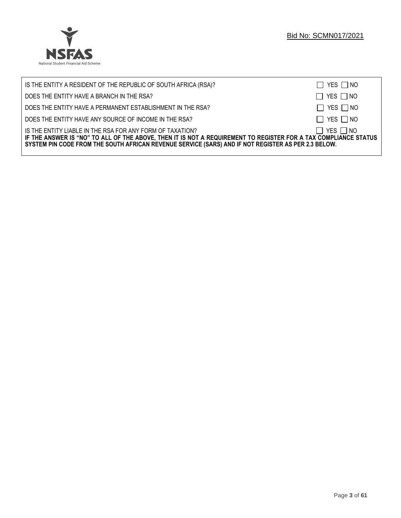

| IS THE ENTITY A RESIDENT OF THE REPUBLIC OF SOUTH AFRICA (RSA)?                                                                                                                                                                                                                     | $\Box$ YES $\Box$ NO |
|-------------------------------------------------------------------------------------------------------------------------------------------------------------------------------------------------------------------------------------------------------------------------------------|----------------------|
| DOES THE ENTITY HAVE A BRANCH IN THE RSA?                                                                                                                                                                                                                                           | $\Box$ YES $\Box$ NO |
| DOES THE ENTITY HAVE A PERMANENT ESTABLISHMENT IN THE RSA?                                                                                                                                                                                                                          | $\Box$ YES $\Box$ NO |
| DOES THE ENTITY HAVE ANY SOURCE OF INCOME IN THE RSA?                                                                                                                                                                                                                               | $\Box$ YES $\Box$ NO |
| IS THE ENTITY LIABLE IN THE RSA FOR ANY FORM OF TAXATION?<br>IF THE ANSWER IS "NO" TO ALL OF THE ABOVE, THEN IT IS NOT A REQUIREMENT TO REGISTER FOR A TAX COMPLIANCE STATUS<br>SYSTEM PIN CODE FROM THE SOUTH AFRICAN REVENUE SERVICE (SARS) AND IF NOT REGISTER AS PER 2.3 BELOW. | $\Box$ YES $\Box$ NO |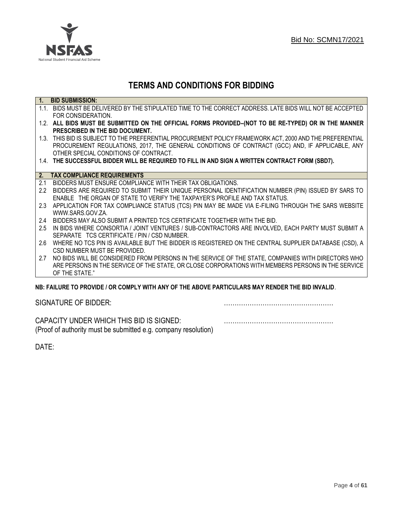

## **TERMS AND CONDITIONS FOR BIDDING**

| $\overline{1}$ . | <b>BID SUBMISSION:</b>                                                                                    |
|------------------|-----------------------------------------------------------------------------------------------------------|
|                  | 1.1. BIDS MUST BE DELIVERED BY THE STIPULATED TIME TO THE CORRECT ADDRESS. LATE BIDS WILL NOT BE ACCEPTED |
|                  | FOR CONSIDERATION.                                                                                        |
|                  | 1.2. ALL BIDS MUST BE SUBMITTED ON THE OFFICIAL FORMS PROVIDED-(NOT TO BE RE-TYPED) OR IN THE MANNER      |
|                  | PRESCRIBED IN THE BID DOCUMENT.                                                                           |
|                  | 1.3. THIS BID IS SUBJECT TO THE PREFERENTIAL PROCUREMENT POLICY FRAMEWORK ACT, 2000 AND THE PREFERENTIAL  |
|                  | PROCUREMENT REGULATIONS, 2017, THE GENERAL CONDITIONS OF CONTRACT (GCC) AND, IF APPLICABLE, ANY           |
|                  | OTHER SPECIAL CONDITIONS OF CONTRACT.                                                                     |
|                  | 1.4. THE SUCCESSFUL BIDDER WILL BE REQUIRED TO FILL IN AND SIGN A WRITTEN CONTRACT FORM (SBD7).           |
|                  |                                                                                                           |
|                  | 2. TAX COMPLIANCE REQUIREMENTS                                                                            |
| 2.1              | BIDDERS MUST ENSURE COMPLIANCE WITH THEIR TAX OBLIGATIONS.                                                |
| $2.2^{\circ}$    | BIDDERS ARE REQUIRED TO SUBMIT THEIR UNIQUE PERSONAL IDENTIFICATION NUMBER (PIN) ISSUED BY SARS TO        |
|                  | ENABLE THE ORGAN OF STATE TO VERIFY THE TAXPAYER'S PROFILE AND TAX STATUS.                                |
| 2.3              | APPLICATION FOR TAX COMPLIANCE STATUS (TCS) PIN MAY BE MADE VIA E-FILING THROUGH THE SARS WEBSITE         |
|                  | WWW.SARS.GOV.ZA.                                                                                          |
| 2.4              | BIDDERS MAY ALSO SUBMIT A PRINTED TCS CERTIFICATE TOGETHER WITH THE BID.                                  |
| 2.5              | IN BIDS WHERE CONSORTIA / JOINT VENTURES / SUB-CONTRACTORS ARE INVOLVED, EACH PARTY MUST SUBMIT A         |
|                  | SEPARATE TCS CERTIFICATE / PIN / CSD NUMBER.                                                              |
| 2.6              | WHERE NO TCS PIN IS AVAILABLE BUT THE BIDDER IS REGISTERED ON THE CENTRAL SUPPLIER DATABASE (CSD), A      |
|                  | CSD NUMBER MUST BE PROVIDED.                                                                              |
| 2.7              | NO BIDS WILL BE CONSIDERED FROM PERSONS IN THE SERVICE OF THE STATE, COMPANIES WITH DIRECTORS WHO         |
|                  | ARE PERSONS IN THE SERVICE OF THE STATE, OR CLOSE CORPORATIONS WITH MEMBERS PERSONS IN THE SERVICE        |
|                  | OF THE STATE."                                                                                            |
|                  | ND: EAII HDE TO DDOVINE I OD COMDI V WITH ANV OE THE ADOVE DADTICHI ADG MAV DENNED THE DIN INVALIN        |

## **NB: FAILURE TO PROVIDE / OR COMPLY WITH ANY OF THE ABOVE PARTICULARS MAY RENDER THE BID INVALID**.

|  | SIGNATURE OF BIDDER: |
|--|----------------------|
|--|----------------------|

SIGNATURE OF BIDDER: ……………………………………………

CAPACITY UNDER WHICH THIS BID IS SIGNED: …………………………………………… (Proof of authority must be submitted e.g. company resolution)

DATE: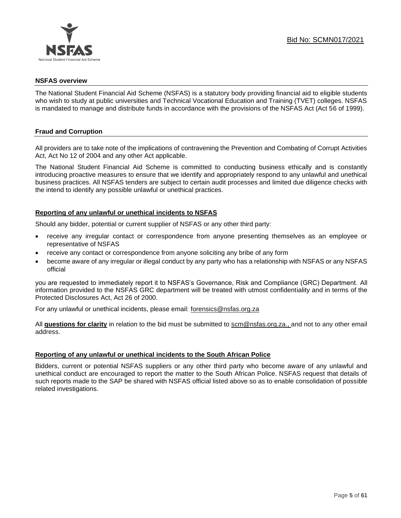

## **NSFAS overview**

The National Student Financial Aid Scheme (NSFAS) is a statutory body providing financial aid to eligible students who wish to study at public universities and Technical Vocational Education and Training (TVET) colleges. NSFAS is mandated to manage and distribute funds in accordance with the provisions of the NSFAS Act (Act 56 of 1999).

## **Fraud and Corruption**

All providers are to take note of the implications of contravening the Prevention and Combating of Corrupt Activities Act, Act No 12 of 2004 and any other Act applicable.

The National Student Financial Aid Scheme is committed to conducting business ethically and is constantly introducing proactive measures to ensure that we identify and appropriately respond to any unlawful and unethical business practices. All NSFAS tenders are subject to certain audit processes and limited due diligence checks with the intend to identify any possible unlawful or unethical practices.

## **Reporting of any unlawful or unethical incidents to NSFAS**

Should any bidder, potential or current supplier of NSFAS or any other third party:

- receive any irregular contact or correspondence from anyone presenting themselves as an employee or representative of NSFAS
- receive any contact or correspondence from anyone soliciting any bribe of any form
- become aware of any irregular or illegal conduct by any party who has a relationship with NSFAS or any NSFAS official

you are requested to immediately report it to NSFAS's Governance, Risk and Compliance (GRC) Department. All information provided to the NSFAS GRC department will be treated with utmost confidentiality and in terms of the Protected Disclosures Act, Act 26 of 2000.

For any unlawful or unethical incidents, please email: [forensics@nsfas.org.za](mailto:forensics@nsfas.org.za)

All **questions for clarity** in relation to the bid must be submitted to [scm@nsfas.org.za.](mailto:scm@nsfas.org.za), and not to any other email address.

## **Reporting of any unlawful or unethical incidents to the South African Police**

Bidders, current or potential NSFAS suppliers or any other third party who become aware of any unlawful and unethical conduct are encouraged to report the matter to the South African Police. NSFAS request that details of such reports made to the SAP be shared with NSFAS official listed above so as to enable consolidation of possible related investigations.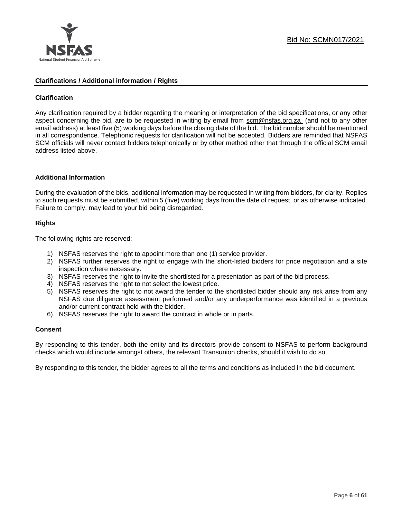

## **Clarifications / Additional information / Rights**

## **Clarification**

Any clarification required by a bidder regarding the meaning or interpretation of the bid specifications, or any other aspect concerning the bid, are to be requested in writing by email from [scm@nsfas.org.za](mailto:scm@nsfas.org.za) (and not to any other email address) at least five (5) working days before the closing date of the bid. The bid number should be mentioned in all correspondence. Telephonic requests for clarification will not be accepted. Bidders are reminded that NSFAS SCM officials will never contact bidders telephonically or by other method other that through the official SCM email address listed above.

#### **Additional Information**

During the evaluation of the bids, additional information may be requested in writing from bidders, for clarity. Replies to such requests must be submitted, within 5 (five) working days from the date of request, or as otherwise indicated. Failure to comply, may lead to your bid being disregarded.

## **Rights**

The following rights are reserved:

- 1) NSFAS reserves the right to appoint more than one (1) service provider.
- 2) NSFAS further reserves the right to engage with the short-listed bidders for price negotiation and a site inspection where necessary.
- 3) NSFAS reserves the right to invite the shortlisted for a presentation as part of the bid process.
- 4) NSFAS reserves the right to not select the lowest price.
- 5) NSFAS reserves the right to not award the tender to the shortlisted bidder should any risk arise from any NSFAS due diligence assessment performed and/or any underperformance was identified in a previous and/or current contract held with the bidder.
- 6) NSFAS reserves the right to award the contract in whole or in parts.

#### **Consent**

By responding to this tender, both the entity and its directors provide consent to NSFAS to perform background checks which would include amongst others, the relevant Transunion checks, should it wish to do so.

By responding to this tender, the bidder agrees to all the terms and conditions as included in the bid document.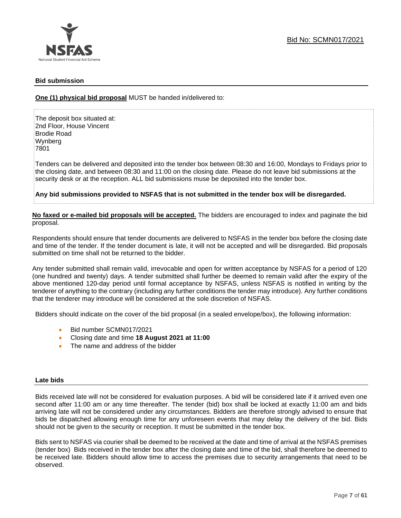

## **Bid submission**

**One (1) physical bid proposal** MUST be handed in/delivered to:

The deposit box situated at: 2nd Floor, House Vincent Brodie Road Wynberg 7801

Tenders can be delivered and deposited into the tender box between 08:30 and 16:00, Mondays to Fridays prior to the closing date, and between 08:30 and 11:00 on the closing date. Please do not leave bid submissions at the security desk or at the reception. ALL bid submissions muse be deposited into the tender box.

**Any bid submissions provided to NSFAS that is not submitted in the tender box will be disregarded.**

**No faxed or e-mailed bid proposals will be accepted.** The bidders are encouraged to index and paginate the bid proposal.

Respondents should ensure that tender documents are delivered to NSFAS in the tender box before the closing date and time of the tender. If the tender document is late, it will not be accepted and will be disregarded. Bid proposals submitted on time shall not be returned to the bidder.

Any tender submitted shall remain valid, irrevocable and open for written acceptance by NSFAS for a period of 120 (one hundred and twenty) days. A tender submitted shall further be deemed to remain valid after the expiry of the above mentioned 120-day period until formal acceptance by NSFAS, unless NSFAS is notified in writing by the tenderer of anything to the contrary (including any further conditions the tender may introduce). Any further conditions that the tenderer may introduce will be considered at the sole discretion of NSFAS.

Bidders should indicate on the cover of the bid proposal (in a sealed envelope/box), the following information:

- Bid number SCMN017/2021
- Closing date and time **18 August 2021 at 11:00**
- The name and address of the bidder

#### **Late bids**

Bids received late will not be considered for evaluation purposes. A bid will be considered late if it arrived even one second after 11:00 am or any time thereafter. The tender (bid) box shall be locked at exactly 11:00 am and bids arriving late will not be considered under any circumstances. Bidders are therefore strongly advised to ensure that bids be dispatched allowing enough time for any unforeseen events that may delay the delivery of the bid. Bids should not be given to the security or reception. It must be submitted in the tender box.

Bids sent to NSFAS via courier shall be deemed to be received at the date and time of arrival at the NSFAS premises (tender box) Bids received in the tender box after the closing date and time of the bid, shall therefore be deemed to be received late. Bidders should allow time to access the premises due to security arrangements that need to be observed.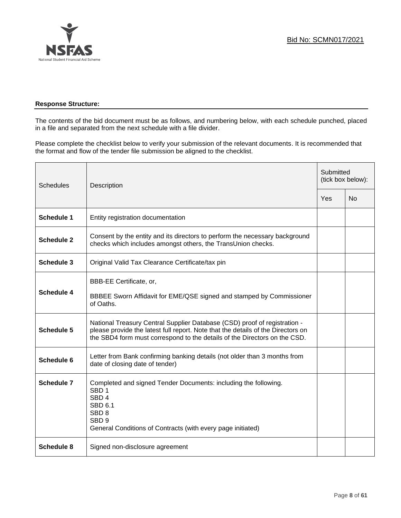

## **Response Structure:**

The contents of the bid document must be as follows, and numbering below, with each schedule punched, placed in a file and separated from the next schedule with a file divider.

Please complete the checklist below to verify your submission of the relevant documents. It is recommended that the format and flow of the tender file submission be aligned to the checklist.

| <b>Schedules</b>  | Description                                                                                                                                                                                                                                |     | Submitted<br>(tick box below): |  |
|-------------------|--------------------------------------------------------------------------------------------------------------------------------------------------------------------------------------------------------------------------------------------|-----|--------------------------------|--|
|                   |                                                                                                                                                                                                                                            | Yes | N <sub>0</sub>                 |  |
| <b>Schedule 1</b> | Entity registration documentation                                                                                                                                                                                                          |     |                                |  |
| <b>Schedule 2</b> | Consent by the entity and its directors to perform the necessary background<br>checks which includes amongst others, the TransUnion checks.                                                                                                |     |                                |  |
| <b>Schedule 3</b> | Original Valid Tax Clearance Certificate/tax pin                                                                                                                                                                                           |     |                                |  |
| Schedule 4        | BBB-EE Certificate, or,<br>BBBEE Sworn Affidavit for EME/QSE signed and stamped by Commissioner<br>of Oaths.                                                                                                                               |     |                                |  |
| Schedule 5        | National Treasury Central Supplier Database (CSD) proof of registration -<br>please provide the latest full report. Note that the details of the Directors on<br>the SBD4 form must correspond to the details of the Directors on the CSD. |     |                                |  |
| Schedule 6        | Letter from Bank confirming banking details (not older than 3 months from<br>date of closing date of tender)                                                                                                                               |     |                                |  |
| <b>Schedule 7</b> | Completed and signed Tender Documents: including the following.<br>SBD <sub>1</sub><br>SBD <sub>4</sub><br>SBD 6.1<br>SBD <sub>8</sub><br>SBD <sub>9</sub><br>General Conditions of Contracts (with every page initiated)                  |     |                                |  |
| Schedule 8        | Signed non-disclosure agreement                                                                                                                                                                                                            |     |                                |  |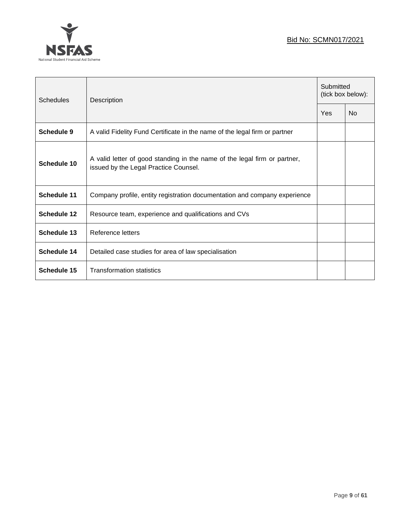## Bid No: SCMN017/2021



| <b>Schedules</b>   | Description                                                                                                        | Submitted<br>(tick box below): |                |
|--------------------|--------------------------------------------------------------------------------------------------------------------|--------------------------------|----------------|
|                    |                                                                                                                    | Yes                            | N <sub>0</sub> |
| Schedule 9         | A valid Fidelity Fund Certificate in the name of the legal firm or partner                                         |                                |                |
| Schedule 10        | A valid letter of good standing in the name of the legal firm or partner,<br>issued by the Legal Practice Counsel. |                                |                |
| <b>Schedule 11</b> | Company profile, entity registration documentation and company experience                                          |                                |                |
| Schedule 12        | Resource team, experience and qualifications and CVs                                                               |                                |                |
| Schedule 13        | Reference letters                                                                                                  |                                |                |
| <b>Schedule 14</b> | Detailed case studies for area of law specialisation                                                               |                                |                |
| Schedule 15        | <b>Transformation statistics</b>                                                                                   |                                |                |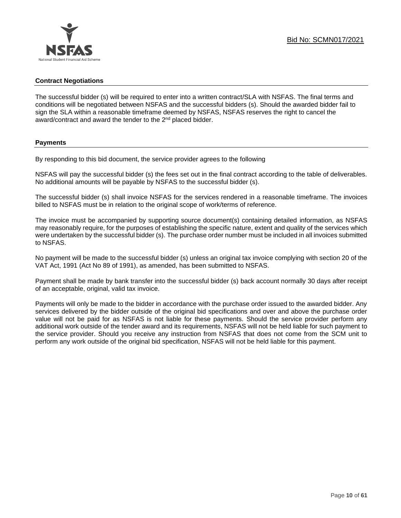#### **Contract Negotiations**

The successful bidder (s) will be required to enter into a written contract/SLA with NSFAS. The final terms and conditions will be negotiated between NSFAS and the successful bidders (s). Should the awarded bidder fail to sign the SLA within a reasonable timeframe deemed by NSFAS, NSFAS reserves the right to cancel the award/contract and award the tender to the 2<sup>nd</sup> placed bidder.

#### **Payments**

By responding to this bid document, the service provider agrees to the following

NSFAS will pay the successful bidder (s) the fees set out in the final contract according to the table of deliverables. No additional amounts will be payable by NSFAS to the successful bidder (s).

The successful bidder (s) shall invoice NSFAS for the services rendered in a reasonable timeframe. The invoices billed to NSFAS must be in relation to the original scope of work/terms of reference.

The invoice must be accompanied by supporting source document(s) containing detailed information, as NSFAS may reasonably require, for the purposes of establishing the specific nature, extent and quality of the services which were undertaken by the successful bidder (s). The purchase order number must be included in all invoices submitted to NSFAS.

No payment will be made to the successful bidder (s) unless an original tax invoice complying with section 20 of the VAT Act, 1991 (Act No 89 of 1991), as amended, has been submitted to NSFAS.

Payment shall be made by bank transfer into the successful bidder (s) back account normally 30 days after receipt of an acceptable, original, valid tax invoice.

Payments will only be made to the bidder in accordance with the purchase order issued to the awarded bidder. Any services delivered by the bidder outside of the original bid specifications and over and above the purchase order value will not be paid for as NSFAS is not liable for these payments. Should the service provider perform any additional work outside of the tender award and its requirements, NSFAS will not be held liable for such payment to the service provider. Should you receive any instruction from NSFAS that does not come from the SCM unit to perform any work outside of the original bid specification, NSFAS will not be held liable for this payment.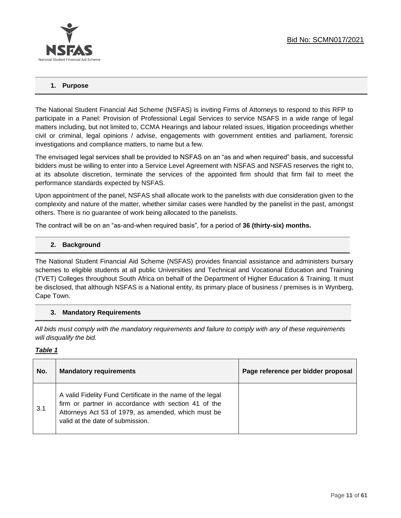

## **1. Purpose**

The National Student Financial Aid Scheme (NSFAS) is inviting Firms of Attorneys to respond to this RFP to participate in a Panel: Provision of Professional Legal Services to service NSAFS in a wide range of legal matters including, but not limited to, CCMA Hearings and labour related issues, litigation proceedings whether civil or criminal, legal opinions / advise, engagements with government entities and parliament, forensic investigations and compliance matters, to name but a few.

The envisaged legal services shall be provided to NSFAS on an "as and when required" basis, and successful bidders must be willing to enter into a Service Level Agreement with NSFAS and NSFAS reserves the right to, at its absolute discretion, terminate the services of the appointed firm should that firm fail to meet the performance standards expected by NSFAS.

Upon appointment of the panel, NSFAS shall allocate work to the panelists with due consideration given to the complexity and nature of the matter, whether similar cases were handled by the panelist in the past, amongst others. There is no guarantee of work being allocated to the panelists.

The contract will be on an "as-and-when required basis", for a period of **36 (thirty-six) months.**

## **2. Background**

The National Student Financial Aid Scheme (NSFAS) provides financial assistance and administers bursary schemes to eligible students at all public Universities and Technical and Vocational Education and Training (TVET) Colleges throughout South Africa on behalf of the Department of Higher Education & Training. It must be disclosed, that although NSFAS is a National entity, its primary place of business / premises is in Wynberg, Cape Town.

## **3. Mandatory Requirements**

*All bids must comply with the mandatory requirements and failure to comply with any of these requirements will disqualify the bid.*

#### *Table 1*

| No. | <b>Mandatory requirements</b>                                                                                                                                                                                 | Page reference per bidder proposal |
|-----|---------------------------------------------------------------------------------------------------------------------------------------------------------------------------------------------------------------|------------------------------------|
| 3.1 | A valid Fidelity Fund Certificate in the name of the legal<br>firm or partner in accordance with section 41 of the<br>Attorneys Act 53 of 1979, as amended, which must be<br>valid at the date of submission. |                                    |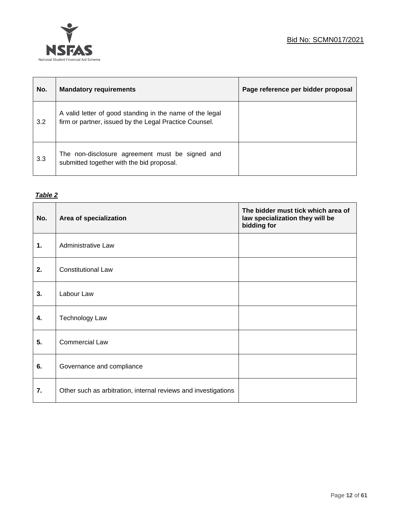

| No. | <b>Mandatory requirements</b>                                                                                      | Page reference per bidder proposal |
|-----|--------------------------------------------------------------------------------------------------------------------|------------------------------------|
| 3.2 | A valid letter of good standing in the name of the legal<br>firm or partner, issued by the Legal Practice Counsel. |                                    |
| 3.3 | The non-disclosure agreement must be signed and<br>submitted together with the bid proposal.                       |                                    |

## *Table 2*

| No. | Area of specialization                                         | The bidder must tick which area of<br>law specialization they will be<br>bidding for |
|-----|----------------------------------------------------------------|--------------------------------------------------------------------------------------|
| 1.  | <b>Administrative Law</b>                                      |                                                                                      |
| 2.  | <b>Constitutional Law</b>                                      |                                                                                      |
| 3.  | Labour Law                                                     |                                                                                      |
| 4.  | <b>Technology Law</b>                                          |                                                                                      |
| 5.  | <b>Commercial Law</b>                                          |                                                                                      |
| 6.  | Governance and compliance                                      |                                                                                      |
| 7.  | Other such as arbitration, internal reviews and investigations |                                                                                      |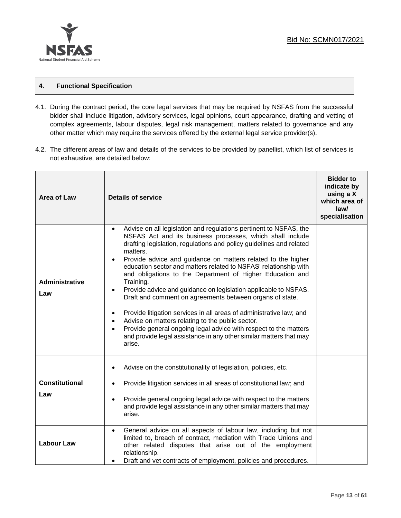

## **4. Functional Specification**

- 4.1. During the contract period, the core legal services that may be required by NSFAS from the successful bidder shall include litigation, advisory services, legal opinions, court appearance, drafting and vetting of complex agreements, labour disputes, legal risk management, matters related to governance and any other matter which may require the services offered by the external legal service provider(s).
- 4.2. The different areas of law and details of the services to be provided by panellist, which list of services is not exhaustive, are detailed below:

| Area of Law                  | <b>Details of service</b>                                                                                                                                                                                                                                                                                                                                                                                                                                                                                                                                                                                                                                                                                                                                                                                                                                                                 | <b>Bidder to</b><br>indicate by<br>using a X<br>which area of<br>law/<br>specialisation |
|------------------------------|-------------------------------------------------------------------------------------------------------------------------------------------------------------------------------------------------------------------------------------------------------------------------------------------------------------------------------------------------------------------------------------------------------------------------------------------------------------------------------------------------------------------------------------------------------------------------------------------------------------------------------------------------------------------------------------------------------------------------------------------------------------------------------------------------------------------------------------------------------------------------------------------|-----------------------------------------------------------------------------------------|
| <b>Administrative</b><br>Law | Advise on all legislation and regulations pertinent to NSFAS, the<br>$\bullet$<br>NSFAS Act and its business processes, which shall include<br>drafting legislation, regulations and policy guidelines and related<br>matters.<br>Provide advice and guidance on matters related to the higher<br>$\bullet$<br>education sector and matters related to NSFAS' relationship with<br>and obligations to the Department of Higher Education and<br>Training.<br>Provide advice and guidance on legislation applicable to NSFAS.<br>$\bullet$<br>Draft and comment on agreements between organs of state.<br>Provide litigation services in all areas of administrative law; and<br>٠<br>Advise on matters relating to the public sector.<br>Provide general ongoing legal advice with respect to the matters<br>and provide legal assistance in any other similar matters that may<br>arise. |                                                                                         |
| <b>Constitutional</b><br>Law | Advise on the constitutionality of legislation, policies, etc.<br>Provide litigation services in all areas of constitutional law; and<br>Provide general ongoing legal advice with respect to the matters<br>$\bullet$<br>and provide legal assistance in any other similar matters that may<br>arise.                                                                                                                                                                                                                                                                                                                                                                                                                                                                                                                                                                                    |                                                                                         |
| <b>Labour Law</b>            | General advice on all aspects of labour law, including but not<br>$\bullet$<br>limited to, breach of contract, mediation with Trade Unions and<br>other related disputes that arise out of the employment<br>relationship.<br>Draft and vet contracts of employment, policies and procedures.                                                                                                                                                                                                                                                                                                                                                                                                                                                                                                                                                                                             |                                                                                         |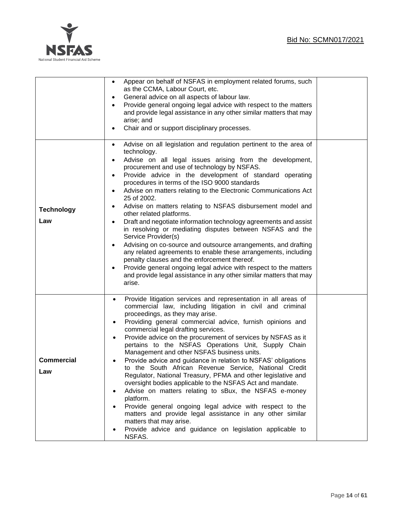

|                          | Appear on behalf of NSFAS in employment related forums, such<br>$\bullet$<br>as the CCMA, Labour Court, etc.<br>General advice on all aspects of labour law.<br>٠<br>Provide general ongoing legal advice with respect to the matters<br>$\bullet$<br>and provide legal assistance in any other similar matters that may<br>arise; and<br>Chair and or support disciplinary processes.                                                                                                                                                                                                                                                                                                                                                                                                                                                                                                                                                                                                                                                                                     |  |
|--------------------------|----------------------------------------------------------------------------------------------------------------------------------------------------------------------------------------------------------------------------------------------------------------------------------------------------------------------------------------------------------------------------------------------------------------------------------------------------------------------------------------------------------------------------------------------------------------------------------------------------------------------------------------------------------------------------------------------------------------------------------------------------------------------------------------------------------------------------------------------------------------------------------------------------------------------------------------------------------------------------------------------------------------------------------------------------------------------------|--|
| <b>Technology</b><br>Law | Advise on all legislation and regulation pertinent to the area of<br>$\bullet$<br>technology.<br>Advise on all legal issues arising from the development,<br>٠<br>procurement and use of technology by NSFAS.<br>Provide advice in the development of standard operating<br>٠<br>procedures in terms of the ISO 9000 standards<br>Advise on matters relating to the Electronic Communications Act<br>$\bullet$<br>25 of 2002.<br>Advise on matters relating to NSFAS disbursement model and<br>$\bullet$<br>other related platforms.<br>Draft and negotiate information technology agreements and assist<br>$\bullet$<br>in resolving or mediating disputes between NSFAS and the<br>Service Provider(s)<br>Advising on co-source and outsource arrangements, and drafting<br>$\bullet$<br>any related agreements to enable these arrangements, including<br>penalty clauses and the enforcement thereof.<br>Provide general ongoing legal advice with respect to the matters<br>$\bullet$<br>and provide legal assistance in any other similar matters that may<br>arise. |  |
| <b>Commercial</b><br>∟aw | Provide litigation services and representation in all areas of<br>commercial law, including litigation in civil and criminal<br>proceedings, as they may arise.<br>Providing general commercial advice, furnish opinions and<br>$\bullet$<br>commercial legal drafting services.<br>Provide advice on the procurement of services by NSFAS as it<br>pertains to the NSFAS Operations Unit, Supply Chain<br>Management and other NSFAS business units.<br>Provide advice and guidance in relation to NSFAS' obligations<br>to the South African Revenue Service, National Credit<br>Regulator, National Treasury, PFMA and other legislative and<br>oversight bodies applicable to the NSFAS Act and mandate.<br>Advise on matters relating to sBux, the NSFAS e-money<br>platform.<br>Provide general ongoing legal advice with respect to the<br>matters and provide legal assistance in any other similar<br>matters that may arise.<br>Provide advice and guidance on legislation applicable to<br>NSFAS.                                                               |  |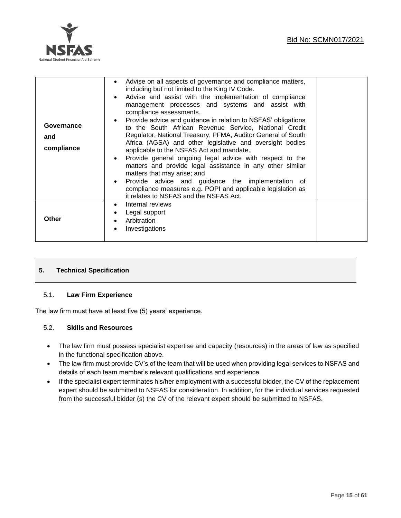

| Advise on all aspects of governance and compliance matters,<br>including but not limited to the King IV Code.<br>Advise and assist with the implementation of compliance<br>management processes and systems and assist with<br>compliance assessments.<br>Provide advice and guidance in relation to NSFAS' obligations<br>to the South African Revenue Service, National Credit<br>Regulator, National Treasury, PFMA, Auditor General of South<br>Africa (AGSA) and other legislative and oversight bodies<br>applicable to the NSFAS Act and mandate.<br>Provide general ongoing legal advice with respect to the<br>matters and provide legal assistance in any other similar<br>matters that may arise; and<br>Provide advice and guidance the implementation of<br>compliance measures e.g. POPI and applicable legislation as |                                        |
|---------------------------------------------------------------------------------------------------------------------------------------------------------------------------------------------------------------------------------------------------------------------------------------------------------------------------------------------------------------------------------------------------------------------------------------------------------------------------------------------------------------------------------------------------------------------------------------------------------------------------------------------------------------------------------------------------------------------------------------------------------------------------------------------------------------------------------------|----------------------------------------|
| Internal reviews<br>$\bullet$<br>Legal support<br>Arbitration<br>Investigations                                                                                                                                                                                                                                                                                                                                                                                                                                                                                                                                                                                                                                                                                                                                                       |                                        |
|                                                                                                                                                                                                                                                                                                                                                                                                                                                                                                                                                                                                                                                                                                                                                                                                                                       | it relates to NSFAS and the NSFAS Act. |

## **5. Technical Specification**

## 5.1. **Law Firm Experience**

The law firm must have at least five (5) years' experience.

## 5.2. **Skills and Resources**

- The law firm must possess specialist expertise and capacity (resources) in the areas of law as specified in the functional specification above.
- The law firm must provide CV's of the team that will be used when providing legal services to NSFAS and details of each team member's relevant qualifications and experience.
- If the specialist expert terminates his/her employment with a successful bidder, the CV of the replacement expert should be submitted to NSFAS for consideration. In addition, for the individual services requested from the successful bidder (s) the CV of the relevant expert should be submitted to NSFAS.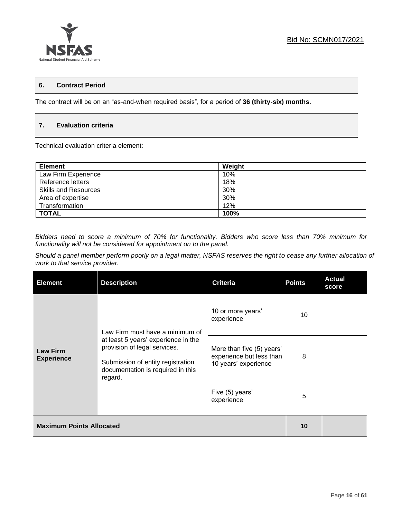

## **6. Contract Period**

The contract will be on an "as-and-when required basis", for a period of **36 (thirty-six) months.**

## **7. Evaluation criteria**

Technical evaluation criteria element:

| <b>Element</b>              | Weight |
|-----------------------------|--------|
| Law Firm Experience         | 10%    |
| Reference letters           | 18%    |
| <b>Skills and Resources</b> | 30%    |
| Area of expertise           | 30%    |
| Transformation              | 12%    |
| <b>TOTAL</b>                | 100%   |

*Bidders need to score a minimum of 70% for functionality. Bidders who score less than 70% minimum for functionality will not be considered for appointment on to the panel.* 

*Should a panel member perform poorly on a legal matter, NSFAS reserves the right to cease any further allocation of work to that service provider.*

| <b>Element</b>                       | <b>Description</b>                                                                                                                                                                          | <b>Criteria</b>                                                               | <b>Points</b> | <b>Actual</b><br>score |
|--------------------------------------|---------------------------------------------------------------------------------------------------------------------------------------------------------------------------------------------|-------------------------------------------------------------------------------|---------------|------------------------|
| <b>Law Firm</b><br><b>Experience</b> | Law Firm must have a minimum of<br>at least 5 years' experience in the<br>provision of legal services.<br>Submission of entity registration<br>documentation is required in this<br>regard. | 10 or more years'<br>experience                                               | 10            |                        |
|                                      |                                                                                                                                                                                             | More than five (5) years'<br>experience but less than<br>10 years' experience | 8             |                        |
|                                      |                                                                                                                                                                                             | Five (5) years'<br>experience                                                 | 5             |                        |
| <b>Maximum Points Allocated</b>      |                                                                                                                                                                                             |                                                                               | 10            |                        |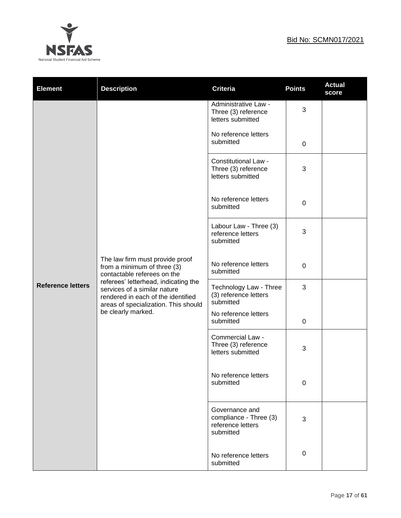

| <b>Element</b>           | <b>Description</b>                                                                                                                                                                                                                                  | <b>Criteria</b>                                                            | <b>Points</b> | <b>Actual</b><br>score |
|--------------------------|-----------------------------------------------------------------------------------------------------------------------------------------------------------------------------------------------------------------------------------------------------|----------------------------------------------------------------------------|---------------|------------------------|
|                          |                                                                                                                                                                                                                                                     | Administrative Law -<br>Three (3) reference<br>letters submitted           | 3             |                        |
|                          |                                                                                                                                                                                                                                                     | No reference letters<br>submitted                                          | 0             |                        |
|                          |                                                                                                                                                                                                                                                     | <b>Constitutional Law -</b><br>Three (3) reference<br>letters submitted    | 3             |                        |
|                          |                                                                                                                                                                                                                                                     | No reference letters<br>submitted                                          | 0             |                        |
|                          | The law firm must provide proof<br>from a minimum of three (3)<br>contactable referees on the<br>referees' letterhead, indicating the<br>services of a similar nature<br>rendered in each of the identified<br>areas of specialization. This should | Labour Law - Three (3)<br>reference letters<br>submitted                   | 3             |                        |
|                          |                                                                                                                                                                                                                                                     | No reference letters<br>submitted                                          | 0             |                        |
| <b>Reference letters</b> |                                                                                                                                                                                                                                                     | Technology Law - Three<br>(3) reference letters<br>submitted               | 3             |                        |
|                          | be clearly marked.                                                                                                                                                                                                                                  | No reference letters<br>submitted                                          | 0             |                        |
|                          |                                                                                                                                                                                                                                                     | Commercial Law -<br>Three (3) reference<br>letters submitted               | 3             |                        |
|                          |                                                                                                                                                                                                                                                     | No reference letters<br>submitted                                          | 0             |                        |
|                          |                                                                                                                                                                                                                                                     | Governance and<br>compliance - Three (3)<br>reference letters<br>submitted | 3             |                        |
|                          |                                                                                                                                                                                                                                                     | No reference letters<br>submitted                                          | 0             |                        |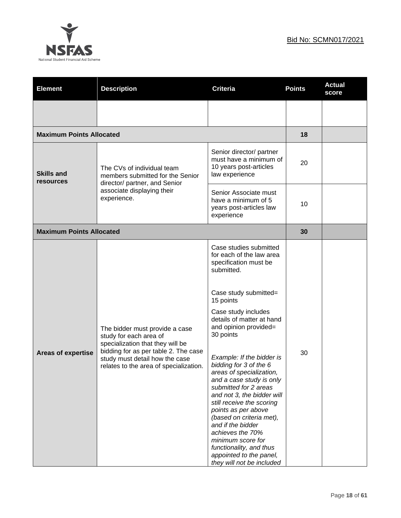



| <b>Element</b>                  | <b>Description</b>                                                                                                                                                                                               | <b>Criteria</b>                                                                                                                                                                                                                                                                                                                                                                                                                                                                                                                                                                                                                  | <b>Points</b> | <b>Actual</b><br>score |
|---------------------------------|------------------------------------------------------------------------------------------------------------------------------------------------------------------------------------------------------------------|----------------------------------------------------------------------------------------------------------------------------------------------------------------------------------------------------------------------------------------------------------------------------------------------------------------------------------------------------------------------------------------------------------------------------------------------------------------------------------------------------------------------------------------------------------------------------------------------------------------------------------|---------------|------------------------|
|                                 |                                                                                                                                                                                                                  |                                                                                                                                                                                                                                                                                                                                                                                                                                                                                                                                                                                                                                  |               |                        |
| <b>Maximum Points Allocated</b> |                                                                                                                                                                                                                  |                                                                                                                                                                                                                                                                                                                                                                                                                                                                                                                                                                                                                                  | 18            |                        |
| <b>Skills and</b><br>resources  | Senior director/ partner<br>must have a minimum of<br>10 years post-articles<br>The CVs of individual team<br>law experience<br>members submitted for the Senior<br>director/ partner, and Senior                | 20                                                                                                                                                                                                                                                                                                                                                                                                                                                                                                                                                                                                                               |               |                        |
|                                 | associate displaying their<br>experience.                                                                                                                                                                        | Senior Associate must<br>have a minimum of 5<br>10<br>years post-articles law<br>experience                                                                                                                                                                                                                                                                                                                                                                                                                                                                                                                                      |               |                        |
| <b>Maximum Points Allocated</b> |                                                                                                                                                                                                                  |                                                                                                                                                                                                                                                                                                                                                                                                                                                                                                                                                                                                                                  | 30            |                        |
| <b>Areas of expertise</b>       | The bidder must provide a case<br>study for each area of<br>specialization that they will be<br>bidding for as per table 2. The case<br>study must detail how the case<br>relates to the area of specialization. | Case studies submitted<br>for each of the law area<br>specification must be<br>submitted.<br>Case study submitted=<br>15 points<br>Case study includes<br>details of matter at hand<br>and opinion provided=<br>30 points<br>Example: If the bidder is<br>bidding for 3 of the 6<br>areas of specialization.<br>and a case study is only<br>submitted for 2 areas<br>and not 3, the bidder will<br>still receive the scoring<br>points as per above<br>(based on criteria met),<br>and if the bidder<br>achieves the 70%<br>minimum score for<br>functionality, and thus<br>appointed to the panel,<br>they will not be included | 30            |                        |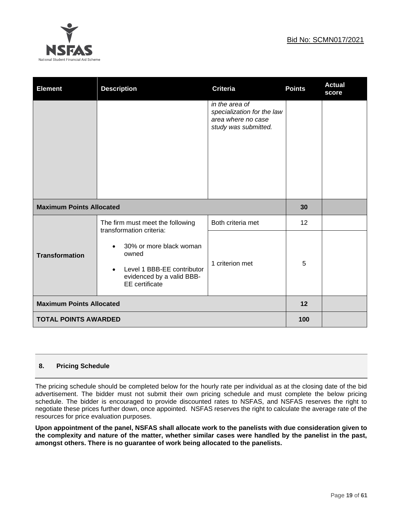

| <b>Element</b>                  | <b>Description</b>                                                                                                   | <b>Criteria</b>                                                                            | <b>Points</b> | <b>Actual</b><br>score |
|---------------------------------|----------------------------------------------------------------------------------------------------------------------|--------------------------------------------------------------------------------------------|---------------|------------------------|
|                                 |                                                                                                                      | in the area of<br>specialization for the law<br>area where no case<br>study was submitted. |               |                        |
| <b>Maximum Points Allocated</b> |                                                                                                                      |                                                                                            | 30            |                        |
|                                 | The firm must meet the following<br>transformation criteria:                                                         | Both criteria met                                                                          | 12            |                        |
| <b>Transformation</b>           | 30% or more black woman<br>owned<br>Level 1 BBB-EE contributor<br>evidenced by a valid BBB-<br><b>EE</b> certificate | 1 criterion met                                                                            | 5             |                        |
| <b>Maximum Points Allocated</b> |                                                                                                                      |                                                                                            | 12            |                        |
| <b>TOTAL POINTS AWARDED</b>     |                                                                                                                      |                                                                                            | 100           |                        |

## **8. Pricing Schedule**

The pricing schedule should be completed below for the hourly rate per individual as at the closing date of the bid advertisement. The bidder must not submit their own pricing schedule and must complete the below pricing schedule. The bidder is encouraged to provide discounted rates to NSFAS, and NSFAS reserves the right to negotiate these prices further down, once appointed. NSFAS reserves the right to calculate the average rate of the resources for price evaluation purposes.

**Upon appointment of the panel, NSFAS shall allocate work to the panelists with due consideration given to the complexity and nature of the matter, whether similar cases were handled by the panelist in the past, amongst others. There is no guarantee of work being allocated to the panelists.**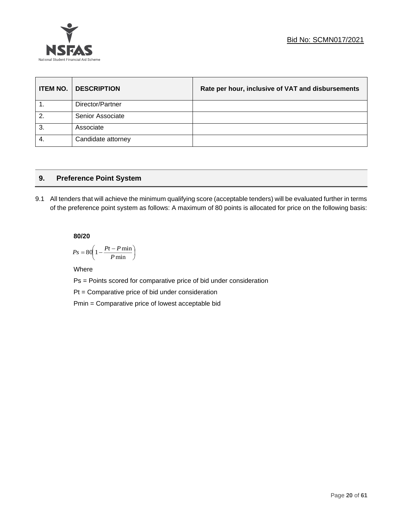

| <b>ITEM NO.</b>  | <b>DESCRIPTION</b> | Rate per hour, inclusive of VAT and disbursements |
|------------------|--------------------|---------------------------------------------------|
|                  | Director/Partner   |                                                   |
| $\overline{2}$ . | Senior Associate   |                                                   |
| 3.               | Associate          |                                                   |
| -4.              | Candidate attorney |                                                   |

## **9. Preference Point System**

9.1 All tenders that will achieve the minimum qualifying score (acceptable tenders) will be evaluated further in terms of the preference point system as follows: A maximum of 80 points is allocated for price on the following basis:

## **80/20**

$$
Ps = 80 \left( 1 - \frac{Pt - P \min}{P \min} \right)
$$

Where

Ps = Points scored for comparative price of bid under consideration

Pt = Comparative price of bid under consideration

Pmin = Comparative price of lowest acceptable bid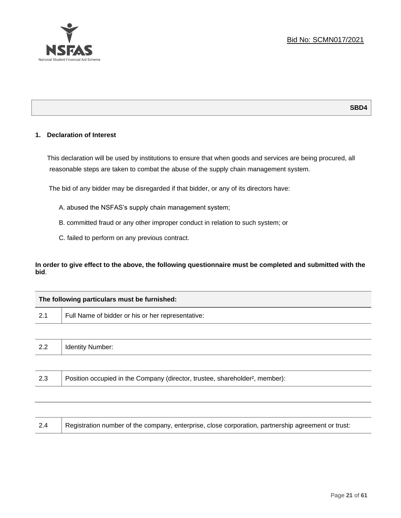

## **1. Declaration of Interest**

This declaration will be used by institutions to ensure that when goods and services are being procured, all reasonable steps are taken to combat the abuse of the supply chain management system.

The bid of any bidder may be disregarded if that bidder, or any of its directors have:

A. abused the NSFAS's supply chain management system;

B. committed fraud or any other improper conduct in relation to such system; or

C. failed to perform on any previous contract.

**In order to give effect to the above, the following questionnaire must be completed and submitted with the bid**.

|     | The following particulars must be furnished:                                             |  |
|-----|------------------------------------------------------------------------------------------|--|
| 2.1 | Full Name of bidder or his or her representative:                                        |  |
|     |                                                                                          |  |
| 2.2 | <b>Identity Number:</b>                                                                  |  |
|     |                                                                                          |  |
| 2.3 | Position occupied in the Company (director, trustee, shareholder <sup>2</sup> , member): |  |

| 2.4 | Registration number of the company, enterprise, close corporation, partnership agreement or trust: |
|-----|----------------------------------------------------------------------------------------------------|
|-----|----------------------------------------------------------------------------------------------------|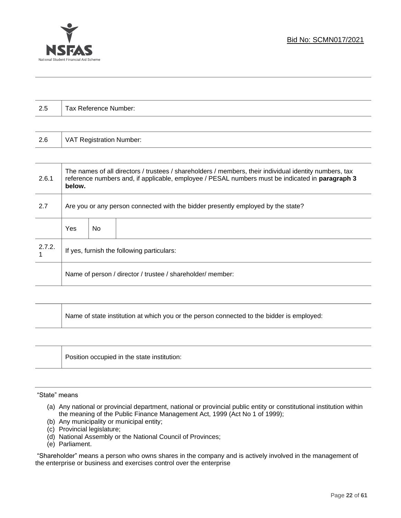

| 2.5    |                                                                                  | Tax Reference Number: |                                                                                                                                                                                                           |  |
|--------|----------------------------------------------------------------------------------|-----------------------|-----------------------------------------------------------------------------------------------------------------------------------------------------------------------------------------------------------|--|
|        |                                                                                  |                       |                                                                                                                                                                                                           |  |
| 2.6    | <b>VAT Registration Number:</b>                                                  |                       |                                                                                                                                                                                                           |  |
|        |                                                                                  |                       |                                                                                                                                                                                                           |  |
| 2.6.1  | below.                                                                           |                       | The names of all directors / trustees / shareholders / members, their individual identity numbers, tax<br>reference numbers and, if applicable, employee / PESAL numbers must be indicated in paragraph 3 |  |
| 2.7    | Are you or any person connected with the bidder presently employed by the state? |                       |                                                                                                                                                                                                           |  |
|        | Yes                                                                              | <b>No</b>             |                                                                                                                                                                                                           |  |
| 2.7.2. | If yes, furnish the following particulars:                                       |                       |                                                                                                                                                                                                           |  |
|        | Name of person / director / trustee / shareholder/ member:                       |                       |                                                                                                                                                                                                           |  |
|        |                                                                                  |                       |                                                                                                                                                                                                           |  |

| Name of state institution at which you or the person connected to the bidder is employed: |  |
|-------------------------------------------------------------------------------------------|--|
|-------------------------------------------------------------------------------------------|--|

| Position occupied in the state institution: |
|---------------------------------------------|
|                                             |

#### "State" means

- (a) Any national or provincial department, national or provincial public entity or constitutional institution within the meaning of the Public Finance Management Act, 1999 (Act No 1 of 1999);
- (b) Any municipality or municipal entity;
- (c) Provincial legislature;
- (d) National Assembly or the National Council of Provinces;
- (e) Parliament.

"Shareholder" means a person who owns shares in the company and is actively involved in the management of the enterprise or business and exercises control over the enterprise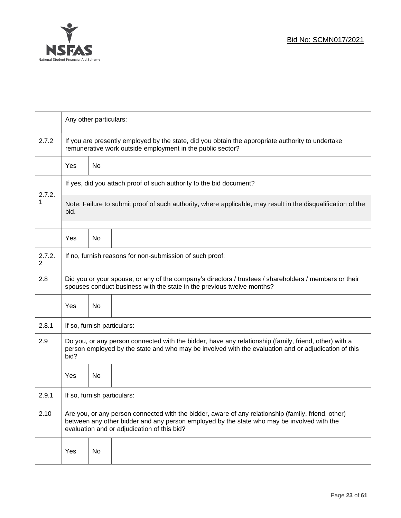

|             | Any other particulars:                                                                                                                                                                                                |                                                                                                                                                                 |                                                                                                                                                                                                                                                  |  |  |  |
|-------------|-----------------------------------------------------------------------------------------------------------------------------------------------------------------------------------------------------------------------|-----------------------------------------------------------------------------------------------------------------------------------------------------------------|--------------------------------------------------------------------------------------------------------------------------------------------------------------------------------------------------------------------------------------------------|--|--|--|
| 2.7.2       |                                                                                                                                                                                                                       | If you are presently employed by the state, did you obtain the appropriate authority to undertake<br>remunerative work outside employment in the public sector? |                                                                                                                                                                                                                                                  |  |  |  |
|             | <b>Yes</b>                                                                                                                                                                                                            | No                                                                                                                                                              |                                                                                                                                                                                                                                                  |  |  |  |
|             |                                                                                                                                                                                                                       | If yes, did you attach proof of such authority to the bid document?                                                                                             |                                                                                                                                                                                                                                                  |  |  |  |
| 2.7.2.<br>1 | Note: Failure to submit proof of such authority, where applicable, may result in the disqualification of the<br>bid.                                                                                                  |                                                                                                                                                                 |                                                                                                                                                                                                                                                  |  |  |  |
|             | Yes                                                                                                                                                                                                                   | <b>No</b>                                                                                                                                                       |                                                                                                                                                                                                                                                  |  |  |  |
| 2.7.2.<br>2 | If no, furnish reasons for non-submission of such proof:                                                                                                                                                              |                                                                                                                                                                 |                                                                                                                                                                                                                                                  |  |  |  |
| 2.8         | Did you or your spouse, or any of the company's directors / trustees / shareholders / members or their<br>spouses conduct business with the state in the previous twelve months?                                      |                                                                                                                                                                 |                                                                                                                                                                                                                                                  |  |  |  |
|             | Yes                                                                                                                                                                                                                   | No                                                                                                                                                              |                                                                                                                                                                                                                                                  |  |  |  |
| 2.8.1       | If so, furnish particulars:                                                                                                                                                                                           |                                                                                                                                                                 |                                                                                                                                                                                                                                                  |  |  |  |
| 2.9         | Do you, or any person connected with the bidder, have any relationship (family, friend, other) with a<br>person employed by the state and who may be involved with the evaluation and or adjudication of this<br>bid? |                                                                                                                                                                 |                                                                                                                                                                                                                                                  |  |  |  |
|             | Yes                                                                                                                                                                                                                   | No                                                                                                                                                              |                                                                                                                                                                                                                                                  |  |  |  |
| 2.9.1       | If so, furnish particulars:                                                                                                                                                                                           |                                                                                                                                                                 |                                                                                                                                                                                                                                                  |  |  |  |
| 2.10        |                                                                                                                                                                                                                       |                                                                                                                                                                 | Are you, or any person connected with the bidder, aware of any relationship (family, friend, other)<br>between any other bidder and any person employed by the state who may be involved with the<br>evaluation and or adjudication of this bid? |  |  |  |
|             | Yes                                                                                                                                                                                                                   | No                                                                                                                                                              |                                                                                                                                                                                                                                                  |  |  |  |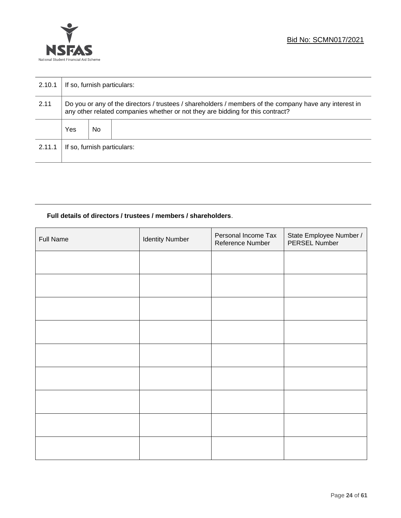

| 2.10.1 | If so, furnish particulars:                                                                                                                                                              |     |  |  |
|--------|------------------------------------------------------------------------------------------------------------------------------------------------------------------------------------------|-----|--|--|
| 2.11   | Do you or any of the directors / trustees / shareholders / members of the company have any interest in<br>any other related companies whether or not they are bidding for this contract? |     |  |  |
|        | Yes                                                                                                                                                                                      | No. |  |  |
| 2.11.1 | If so, furnish particulars:                                                                                                                                                              |     |  |  |

## **Full details of directors / trustees / members / shareholders**.

| <b>Full Name</b> | <b>Identity Number</b> | Personal Income Tax<br>Reference Number | State Employee Number /<br>PERSEL Number |
|------------------|------------------------|-----------------------------------------|------------------------------------------|
|                  |                        |                                         |                                          |
|                  |                        |                                         |                                          |
|                  |                        |                                         |                                          |
|                  |                        |                                         |                                          |
|                  |                        |                                         |                                          |
|                  |                        |                                         |                                          |
|                  |                        |                                         |                                          |
|                  |                        |                                         |                                          |
|                  |                        |                                         |                                          |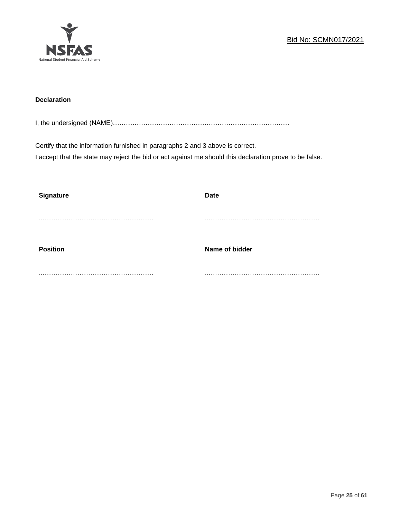

## **Declaration**

I, the undersigned (NAME)………………………………………………………………………

Certify that the information furnished in paragraphs 2 and 3 above is correct. I accept that the state may reject the bid or act against me should this declaration prove to be false.

| <b>Signature</b> | <b>Date</b>    |
|------------------|----------------|
|                  |                |
| <b>Position</b>  | Name of bidder |
|                  |                |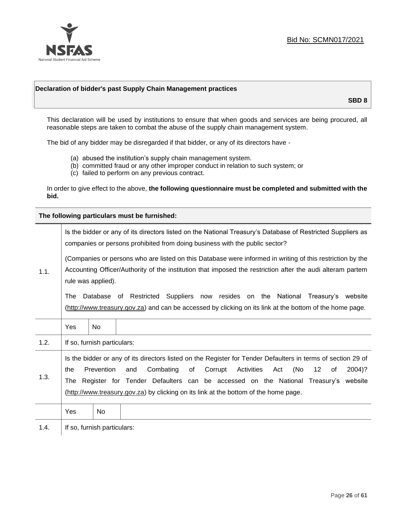

## **Declaration of bidder's past Supply Chain Management practices**

**SBD 8**

This declaration will be used by institutions to ensure that when goods and services are being procured, all reasonable steps are taken to combat the abuse of the supply chain management system.

The bid of any bidder may be disregarded if that bidder, or any of its directors have -

- (a) abused the institution's supply chain management system.
- (b) committed fraud or any other improper conduct in relation to such system; or
- (c) failed to perform on any previous contract.

In order to give effect to the above, **the following questionnaire must be completed and submitted with the bid.**

**The following particulars must be furnished:**

|      | Is the bidder or any of its directors listed on the National Treasury's Database of Restricted Suppliers as<br>companies or persons prohibited from doing business with the public sector?<br>(Companies or persons who are listed on this Database were informed in writing of this restriction by the<br>Accounting Officer/Authority of the institution that imposed the restriction after the audi alteram partem |                             |                                                                                                                                                                                                |  |  |
|------|-----------------------------------------------------------------------------------------------------------------------------------------------------------------------------------------------------------------------------------------------------------------------------------------------------------------------------------------------------------------------------------------------------------------------|-----------------------------|------------------------------------------------------------------------------------------------------------------------------------------------------------------------------------------------|--|--|
| 1.1. |                                                                                                                                                                                                                                                                                                                                                                                                                       | rule was applied).          |                                                                                                                                                                                                |  |  |
|      | The                                                                                                                                                                                                                                                                                                                                                                                                                   |                             | Suppliers now resides on the National Treasury's website<br>Database of Restricted<br>(http://www.treasury.gov.za) and can be accessed by clicking on its link at the bottom of the home page. |  |  |
|      | Yes                                                                                                                                                                                                                                                                                                                                                                                                                   | No.                         |                                                                                                                                                                                                |  |  |
| 1.2. |                                                                                                                                                                                                                                                                                                                                                                                                                       | If so, furnish particulars: |                                                                                                                                                                                                |  |  |
| 1.3. | Is the bidder or any of its directors listed on the Register for Tender Defaulters in terms of section 29 of<br>Prevention<br>Combating<br>Corrupt<br>Activities<br>(No<br>12<br>and<br>of<br>Act<br>2004)?<br>the<br>of<br>Register for Tender Defaulters can be accessed on the National Treasury's website<br>The<br>(http://www.treasury.gov.za) by clicking on its link at the bottom of the home page.          |                             |                                                                                                                                                                                                |  |  |
|      | Yes                                                                                                                                                                                                                                                                                                                                                                                                                   | No                          |                                                                                                                                                                                                |  |  |
| 1.4. |                                                                                                                                                                                                                                                                                                                                                                                                                       | If so, furnish particulars: |                                                                                                                                                                                                |  |  |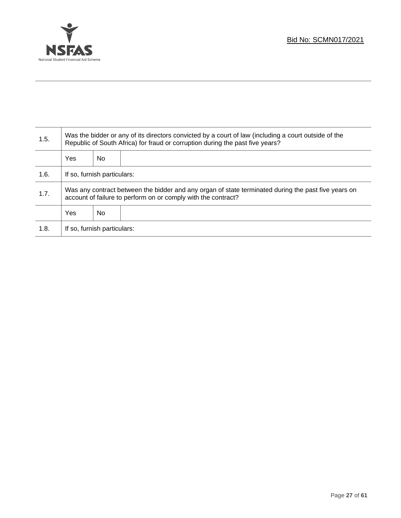

T

| 1.5. | Was the bidder or any of its directors convicted by a court of law (including a court outside of the<br>Republic of South Africa) for fraud or corruption during the past five years? |    |  |  |
|------|---------------------------------------------------------------------------------------------------------------------------------------------------------------------------------------|----|--|--|
|      | <b>Yes</b>                                                                                                                                                                            | No |  |  |
| 1.6. | If so, furnish particulars:                                                                                                                                                           |    |  |  |
| 1.7. | Was any contract between the bidder and any organ of state terminated during the past five years on<br>account of failure to perform on or comply with the contract?                  |    |  |  |
|      | <b>Yes</b>                                                                                                                                                                            | No |  |  |
| 1.8. | If so, furnish particulars:                                                                                                                                                           |    |  |  |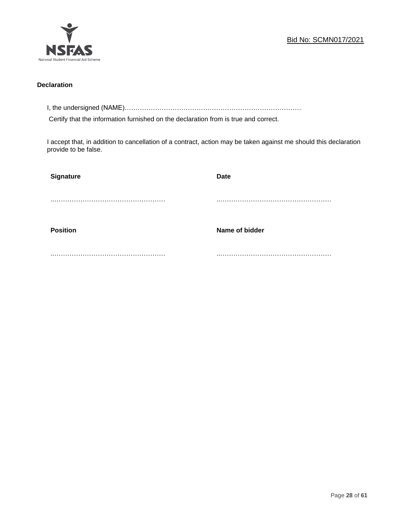

## **Declaration**

I, the undersigned (NAME)………………………………………………………………………

Certify that the information furnished on the declaration from is true and correct.

I accept that, in addition to cancellation of a contract, action may be taken against me should this declaration provide to be false.

| Signature       | <b>Date</b>    |
|-----------------|----------------|
|                 |                |
|                 |                |
| <b>Position</b> | Name of bidder |
|                 |                |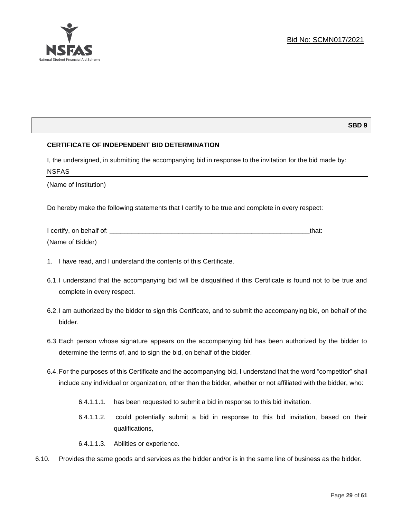## **SBD 9**

## **CERTIFICATE OF INDEPENDENT BID DETERMINATION**

I, the undersigned, in submitting the accompanying bid in response to the invitation for the bid made by: NSFAS

(Name of Institution)

Do hereby make the following statements that I certify to be true and complete in every respect:

| I certify, on behalf of: |  |
|--------------------------|--|
| (Name of Bidder)         |  |

- 1. I have read, and I understand the contents of this Certificate.
- 6.1.I understand that the accompanying bid will be disqualified if this Certificate is found not to be true and complete in every respect.
- 6.2.I am authorized by the bidder to sign this Certificate, and to submit the accompanying bid, on behalf of the bidder.
- 6.3.Each person whose signature appears on the accompanying bid has been authorized by the bidder to determine the terms of, and to sign the bid, on behalf of the bidder.
- 6.4.For the purposes of this Certificate and the accompanying bid, I understand that the word "competitor" shall include any individual or organization, other than the bidder, whether or not affiliated with the bidder, who:
	- 6.4.1.1.1. has been requested to submit a bid in response to this bid invitation.
	- 6.4.1.1.2. could potentially submit a bid in response to this bid invitation, based on their qualifications,
	- 6.4.1.1.3. Abilities or experience.
- 6.10. Provides the same goods and services as the bidder and/or is in the same line of business as the bidder.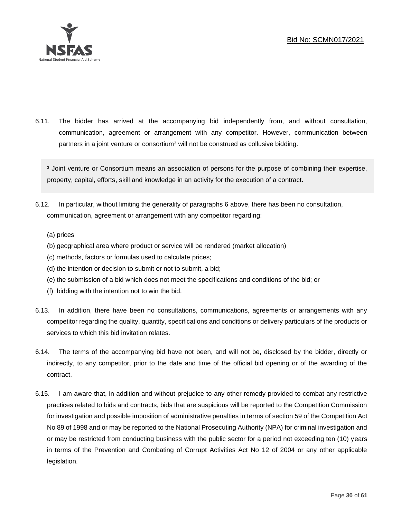

6.11. The bidder has arrived at the accompanying bid independently from, and without consultation, communication, agreement or arrangement with any competitor. However, communication between partners in a joint venture or consortium<sup>3</sup> will not be construed as collusive bidding.

<sup>3</sup> Joint venture or Consortium means an association of persons for the purpose of combining their expertise, property, capital, efforts, skill and knowledge in an activity for the execution of a contract.

- 6.12. In particular, without limiting the generality of paragraphs 6 above, there has been no consultation, communication, agreement or arrangement with any competitor regarding:
	- (a) prices
	- (b) geographical area where product or service will be rendered (market allocation)
	- (c) methods, factors or formulas used to calculate prices;
	- (d) the intention or decision to submit or not to submit, a bid;
	- (e) the submission of a bid which does not meet the specifications and conditions of the bid; or
	- (f) bidding with the intention not to win the bid.
- 6.13. In addition, there have been no consultations, communications, agreements or arrangements with any competitor regarding the quality, quantity, specifications and conditions or delivery particulars of the products or services to which this bid invitation relates.
- 6.14. The terms of the accompanying bid have not been, and will not be, disclosed by the bidder, directly or indirectly, to any competitor, prior to the date and time of the official bid opening or of the awarding of the contract.
- 6.15. I am aware that, in addition and without prejudice to any other remedy provided to combat any restrictive practices related to bids and contracts, bids that are suspicious will be reported to the Competition Commission for investigation and possible imposition of administrative penalties in terms of section 59 of the Competition Act No 89 of 1998 and or may be reported to the National Prosecuting Authority (NPA) for criminal investigation and or may be restricted from conducting business with the public sector for a period not exceeding ten (10) years in terms of the Prevention and Combating of Corrupt Activities Act No 12 of 2004 or any other applicable legislation.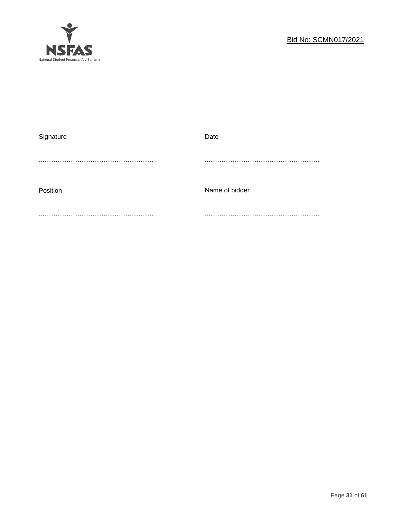

| Signature | Date           |
|-----------|----------------|
|           |                |
|           |                |
|           |                |
|           |                |
| Position  | Name of bidder |
|           |                |
|           |                |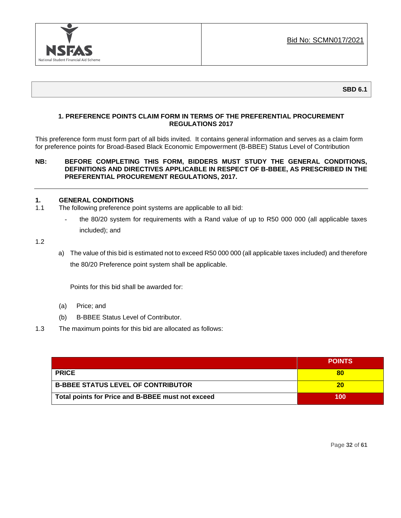

## **1. PREFERENCE POINTS CLAIM FORM IN TERMS OF THE PREFERENTIAL PROCUREMENT REGULATIONS 2017**

This preference form must form part of all bids invited. It contains general information and serves as a claim form for preference points for Broad-Based Black Economic Empowerment (B-BBEE) Status Level of Contribution

## **NB: BEFORE COMPLETING THIS FORM, BIDDERS MUST STUDY THE GENERAL CONDITIONS, DEFINITIONS AND DIRECTIVES APPLICABLE IN RESPECT OF B-BBEE, AS PRESCRIBED IN THE PREFERENTIAL PROCUREMENT REGULATIONS, 2017.**

## **1. GENERAL CONDITIONS**

- 1.1 The following preference point systems are applicable to all bid:
	- the 80/20 system for requirements with a Rand value of up to R50 000 000 (all applicable taxes included); and

1.2

a) The value of this bid is estimated not to exceed R50 000 000 (all applicable taxes included) and therefore the 80/20 Preference point system shall be applicable.

Points for this bid shall be awarded for:

- (a) Price; and
- (b) B-BBEE Status Level of Contributor.
- 1.3 The maximum points for this bid are allocated as follows:

|                                                   | <b>POINTS</b> |
|---------------------------------------------------|---------------|
| <b>PRICE</b>                                      | 80            |
| <b>B-BBEE STATUS LEVEL OF CONTRIBUTOR</b>         | 20            |
| Total points for Price and B-BBEE must not exceed | 100           |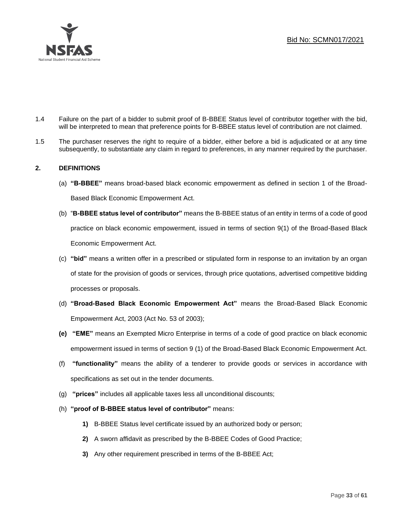

- 1.4 Failure on the part of a bidder to submit proof of B-BBEE Status level of contributor together with the bid, will be interpreted to mean that preference points for B-BBEE status level of contribution are not claimed.
- 1.5 The purchaser reserves the right to require of a bidder, either before a bid is adjudicated or at any time subsequently, to substantiate any claim in regard to preferences, in any manner required by the purchaser.

## **2. DEFINITIONS**

- (a) **"B-BBEE"** means broad-based black economic empowerment as defined in section 1 of the Broad-Based Black Economic Empowerment Act.
- (b) "**B-BBEE status level of contributor"** means the B-BBEE status of an entity in terms of a code of good practice on black economic empowerment, issued in terms of section 9(1) of the Broad-Based Black Economic Empowerment Act.
- (c) **"bid"** means a written offer in a prescribed or stipulated form in response to an invitation by an organ of state for the provision of goods or services, through price quotations, advertised competitive bidding processes or proposals.
- (d) **"Broad-Based Black Economic Empowerment Act"** means the Broad-Based Black Economic Empowerment Act, 2003 (Act No. 53 of 2003);
- **(e) "EME"** means an Exempted Micro Enterprise in terms of a code of good practice on black economic empowerment issued in terms of section 9 (1) of the Broad-Based Black Economic Empowerment Act.
- (f) **"functionality"** means the ability of a tenderer to provide goods or services in accordance with specifications as set out in the tender documents.
- (g) **"prices"** includes all applicable taxes less all unconditional discounts;
- (h) **"proof of B-BBEE status level of contributor"** means:
	- **1)** B-BBEE Status level certificate issued by an authorized body or person;
	- **2)** A sworn affidavit as prescribed by the B-BBEE Codes of Good Practice;
	- **3)** Any other requirement prescribed in terms of the B-BBEE Act;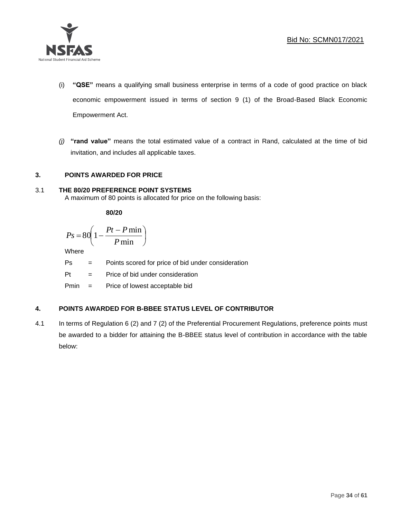

- (i) **"QSE"** means a qualifying small business enterprise in terms of a code of good practice on black economic empowerment issued in terms of section 9 (1) of the Broad-Based Black Economic Empowerment Act.
- *(j)* **"rand value"** means the total estimated value of a contract in Rand, calculated at the time of bid invitation, and includes all applicable taxes.

## **3. POINTS AWARDED FOR PRICE**

## 3.1 **THE 80/20 PREFERENCE POINT SYSTEMS**

A maximum of 80 points is allocated for price on the following basis:

**80/20**

$$
Ps = 80 \left( 1 - \frac{Pt - P \min}{P \min} \right)
$$

Where

Ps = Points scored for price of bid under consideration

l

 $Pt =$  Price of bid under consideration

Pmin = Price of lowest acceptable bid

## **4. POINTS AWARDED FOR B-BBEE STATUS LEVEL OF CONTRIBUTOR**

4.1 In terms of Regulation 6 (2) and 7 (2) of the Preferential Procurement Regulations, preference points must be awarded to a bidder for attaining the B-BBEE status level of contribution in accordance with the table below: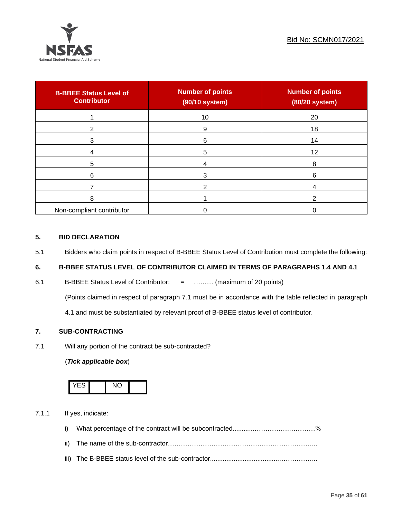

| <b>B-BBEE Status Level of</b><br><b>Contributor</b> | <b>Number of points</b><br>(90/10 system) | <b>Number of points</b><br>(80/20 system) |
|-----------------------------------------------------|-------------------------------------------|-------------------------------------------|
|                                                     | 10                                        | 20                                        |
| ົ                                                   | 9                                         | 18                                        |
| 3                                                   | 6                                         | 14                                        |
|                                                     | 5                                         | 12                                        |
| 5                                                   |                                           | 8                                         |
| 6                                                   |                                           | 6                                         |
|                                                     |                                           |                                           |
| 8                                                   |                                           |                                           |
| Non-compliant contributor                           |                                           |                                           |

## **5. BID DECLARATION**

5.1 Bidders who claim points in respect of B-BBEE Status Level of Contribution must complete the following:

## **6. B-BBEE STATUS LEVEL OF CONTRIBUTOR CLAIMED IN TERMS OF PARAGRAPHS 1.4 AND 4.1**

6.1 B-BBEE Status Level of Contributor: = ……… (maximum of 20 points)

(Points claimed in respect of paragraph 7.1 must be in accordance with the table reflected in paragraph

4.1 and must be substantiated by relevant proof of B-BBEE status level of contributor.

## **7. SUB-CONTRACTING**

7.1 Will any portion of the contract be sub-contracted?

## (*Tick applicable box*)



7.1.1 If yes, indicate:

- i) What percentage of the contract will be subcontracted............…………….…………%
- ii) The name of the sub-contractor…………………………………………………………...
- iii) The B-BBEE status level of the sub-contractor......................................……………...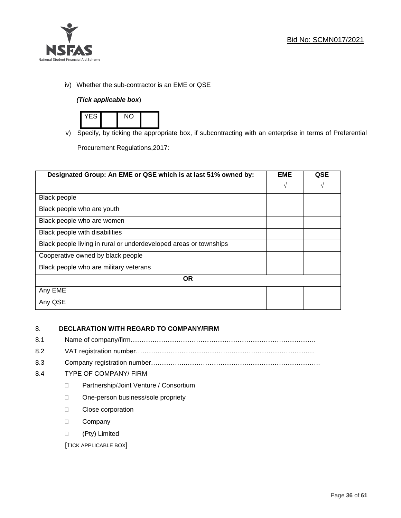

iv) Whether the sub-contractor is an EME or QSE

## *(Tick applicable box*)



v) Specify, by ticking the appropriate box, if subcontracting with an enterprise in terms of Preferential

Procurement Regulations,2017:

| Designated Group: An EME or QSE which is at last 51% owned by:    | <b>EME</b> | QSE |
|-------------------------------------------------------------------|------------|-----|
|                                                                   | $\sqrt{ }$ | V   |
| Black people                                                      |            |     |
| Black people who are youth                                        |            |     |
| Black people who are women                                        |            |     |
| Black people with disabilities                                    |            |     |
| Black people living in rural or underdeveloped areas or townships |            |     |
| Cooperative owned by black people                                 |            |     |
| Black people who are military veterans                            |            |     |
| <b>OR</b>                                                         |            |     |
| Any EME                                                           |            |     |
| Any QSE                                                           |            |     |

## 8. **DECLARATION WITH REGARD TO COMPANY/FIRM**

- 8.1 Name of company/firm………………………………………………………………………….
- 8.2 VAT registration number…………………………………….…………………………………
- 8.3 Company registration number…………….……………………….…………………………….

## 8.4 TYPE OF COMPANY/ FIRM

- D Partnership/Joint Venture / Consortium
- □ One-person business/sole propriety
- **Close corporation**
- D Company
- (Pty) Limited

[TICK APPLICABLE BOX]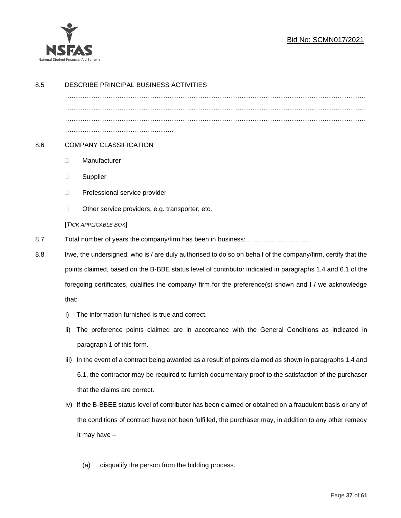

## Bid No: SCMN017/2021

| 8.5 | DESCRIBE PRINCIPAL BUSINESS ACTIVITIES                                                                       |                                                                                                            |  |  |  |
|-----|--------------------------------------------------------------------------------------------------------------|------------------------------------------------------------------------------------------------------------|--|--|--|
|     |                                                                                                              |                                                                                                            |  |  |  |
|     |                                                                                                              |                                                                                                            |  |  |  |
|     |                                                                                                              |                                                                                                            |  |  |  |
|     |                                                                                                              |                                                                                                            |  |  |  |
| 8.6 | <b>COMPANY CLASSIFICATION</b>                                                                                |                                                                                                            |  |  |  |
|     | $\Box$                                                                                                       | Manufacturer                                                                                               |  |  |  |
|     | $\Box$                                                                                                       | Supplier                                                                                                   |  |  |  |
|     | $\Box$                                                                                                       | Professional service provider                                                                              |  |  |  |
|     | $\Box$                                                                                                       | Other service providers, e.g. transporter, etc.                                                            |  |  |  |
|     | [TICK APPLICABLE BOX]                                                                                        |                                                                                                            |  |  |  |
| 8.7 |                                                                                                              |                                                                                                            |  |  |  |
| 8.8 | I/we, the undersigned, who is / are duly authorised to do so on behalf of the company/firm, certify that the |                                                                                                            |  |  |  |
|     | points claimed, based on the B-BBE status level of contributor indicated in paragraphs 1.4 and 6.1 of the    |                                                                                                            |  |  |  |
|     | foregoing certificates, qualifies the company/ firm for the preference(s) shown and I / we acknowledge       |                                                                                                            |  |  |  |
|     | that:                                                                                                        |                                                                                                            |  |  |  |
|     | i)                                                                                                           | The information furnished is true and correct.                                                             |  |  |  |
|     | ii)                                                                                                          | The preference points claimed are in accordance with the General Conditions as indicated in                |  |  |  |
|     |                                                                                                              | paragraph 1 of this form.                                                                                  |  |  |  |
|     | iii)                                                                                                         | In the event of a contract being awarded as a result of points claimed as shown in paragraphs 1.4 and      |  |  |  |
|     |                                                                                                              | 6.1, the contractor may be required to furnish documentary proof to the satisfaction of the purchaser      |  |  |  |
|     |                                                                                                              | that the claims are correct.                                                                               |  |  |  |
|     |                                                                                                              | iv) If the B-BBEE status level of contributor has been claimed or obtained on a fraudulent basis or any of |  |  |  |
|     |                                                                                                              | the conditions of contract have not been fulfilled, the purchaser may, in addition to any other remedy     |  |  |  |
|     |                                                                                                              | it may have -                                                                                              |  |  |  |
|     |                                                                                                              |                                                                                                            |  |  |  |
|     |                                                                                                              | disqualify the person from the bidding process.<br>(a)                                                     |  |  |  |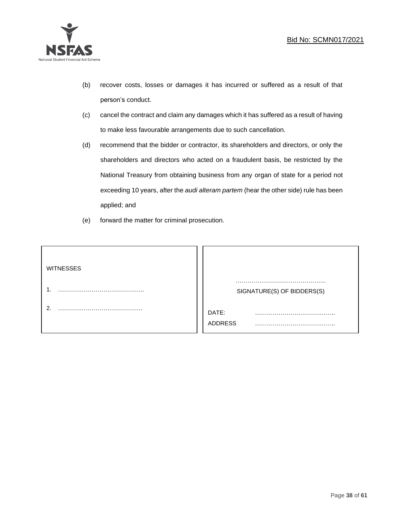

- (b) recover costs, losses or damages it has incurred or suffered as a result of that person's conduct.
- (c) cancel the contract and claim any damages which it has suffered as a result of having to make less favourable arrangements due to such cancellation.
- (d) recommend that the bidder or contractor, its shareholders and directors, or only the shareholders and directors who acted on a fraudulent basis, be restricted by the National Treasury from obtaining business from any organ of state for a period not exceeding 10 years, after the *audi alteram partem* (hear the other side) rule has been applied; and
- (e) forward the matter for criminal prosecution.

| <b>WITNESSES</b> |                              |  |
|------------------|------------------------------|--|
|                  | SIGNATURE(S) OF BIDDERS(S)   |  |
|                  | DATE:<br>.<br><b>ADDRESS</b> |  |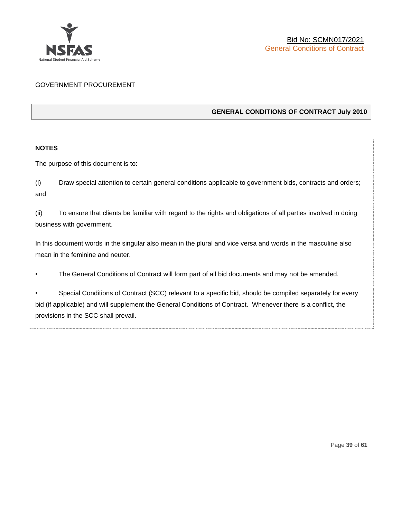

## GOVERNMENT PROCUREMENT

## **GENERAL CONDITIONS OF CONTRACT July 2010**

## **NOTES**

The purpose of this document is to:

(i) Draw special attention to certain general conditions applicable to government bids, contracts and orders; and

(ii) To ensure that clients be familiar with regard to the rights and obligations of all parties involved in doing business with government.

In this document words in the singular also mean in the plural and vice versa and words in the masculine also mean in the feminine and neuter.

• The General Conditions of Contract will form part of all bid documents and may not be amended.

Special Conditions of Contract (SCC) relevant to a specific bid, should be compiled separately for every bid (if applicable) and will supplement the General Conditions of Contract. Whenever there is a conflict, the provisions in the SCC shall prevail.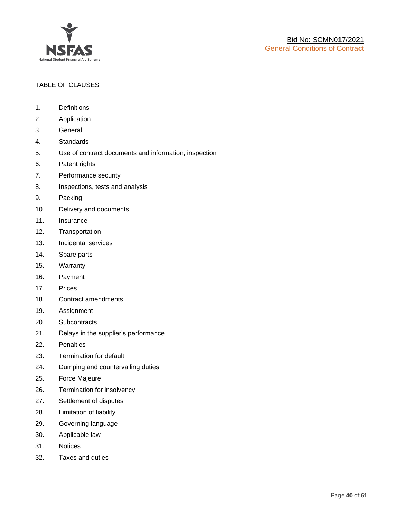

## TABLE OF CLAUSES

- 1. Definitions
- 2. Application
- 3. General
- 4. Standards
- 5. Use of contract documents and information; inspection
- 6. Patent rights
- 7. Performance security
- 8. Inspections, tests and analysis
- 9. Packing
- 10. Delivery and documents
- 11. Insurance
- 12. Transportation
- 13. Incidental services
- 14. Spare parts
- 15. Warranty
- 16. Payment
- 17. Prices
- 18. Contract amendments
- 19. Assignment
- 20. Subcontracts
- 21. Delays in the supplier's performance
- 22. Penalties
- 23. Termination for default
- 24. Dumping and countervailing duties
- 25. Force Majeure
- 26. Termination for insolvency
- 27. Settlement of disputes
- 28. Limitation of liability
- 29. Governing language
- 30. Applicable law
- 31. Notices
- 32. Taxes and duties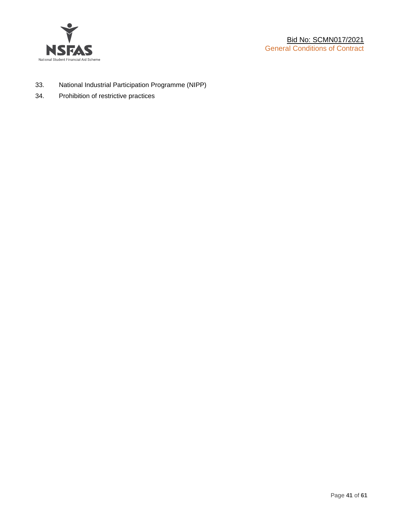

- 33. National Industrial Participation Programme (NIPP)
- 34. Prohibition of restrictive practices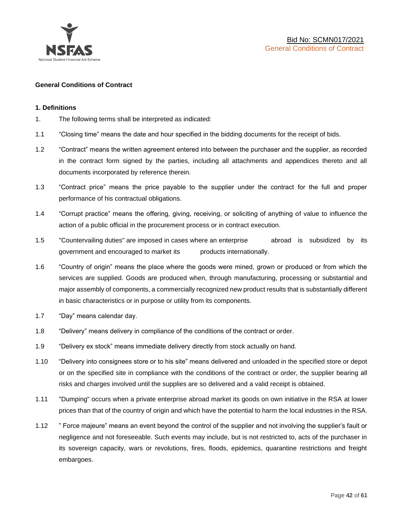

#### **General Conditions of Contract**

#### **1. Definitions**

- 1. The following terms shall be interpreted as indicated:
- 1.1 "Closing time" means the date and hour specified in the bidding documents for the receipt of bids.
- 1.2 "Contract" means the written agreement entered into between the purchaser and the supplier, as recorded in the contract form signed by the parties, including all attachments and appendices thereto and all documents incorporated by reference therein.
- 1.3 "Contract price" means the price payable to the supplier under the contract for the full and proper performance of his contractual obligations.
- 1.4 "Corrupt practice" means the offering, giving, receiving, or soliciting of anything of value to influence the action of a public official in the procurement process or in contract execution.
- 1.5 "Countervailing duties" are imposed in cases where an enterprise abroad is subsidized by its government and encouraged to market its products internationally.
- 1.6 "Country of origin" means the place where the goods were mined, grown or produced or from which the services are supplied. Goods are produced when, through manufacturing, processing or substantial and major assembly of components, a commercially recognized new product results that is substantially different in basic characteristics or in purpose or utility from its components.
- 1.7 "Day" means calendar day.
- 1.8 "Delivery" means delivery in compliance of the conditions of the contract or order.
- 1.9 "Delivery ex stock" means immediate delivery directly from stock actually on hand.
- 1.10 "Delivery into consignees store or to his site" means delivered and unloaded in the specified store or depot or on the specified site in compliance with the conditions of the contract or order, the supplier bearing all risks and charges involved until the supplies are so delivered and a valid receipt is obtained.
- 1.11 "Dumping" occurs when a private enterprise abroad market its goods on own initiative in the RSA at lower prices than that of the country of origin and which have the potential to harm the local industries in the RSA.
- 1.12 " Force majeure" means an event beyond the control of the supplier and not involving the supplier's fault or negligence and not foreseeable. Such events may include, but is not restricted to, acts of the purchaser in its sovereign capacity, wars or revolutions, fires, floods, epidemics, quarantine restrictions and freight embargoes.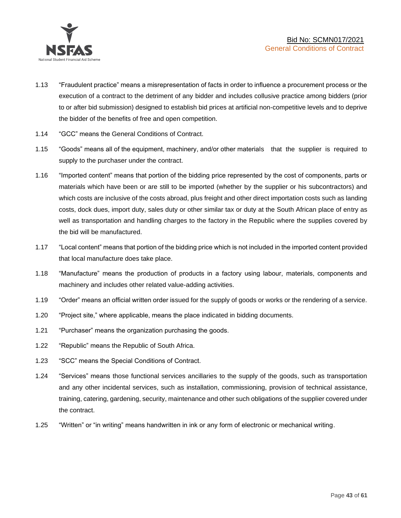

- 1.13 "Fraudulent practice" means a misrepresentation of facts in order to influence a procurement process or the execution of a contract to the detriment of any bidder and includes collusive practice among bidders (prior to or after bid submission) designed to establish bid prices at artificial non-competitive levels and to deprive the bidder of the benefits of free and open competition.
- 1.14 "GCC" means the General Conditions of Contract.
- 1.15 "Goods" means all of the equipment, machinery, and/or other materials that the supplier is required to supply to the purchaser under the contract.
- 1.16 "Imported content" means that portion of the bidding price represented by the cost of components, parts or materials which have been or are still to be imported (whether by the supplier or his subcontractors) and which costs are inclusive of the costs abroad, plus freight and other direct importation costs such as landing costs, dock dues, import duty, sales duty or other similar tax or duty at the South African place of entry as well as transportation and handling charges to the factory in the Republic where the supplies covered by the bid will be manufactured.
- 1.17 "Local content" means that portion of the bidding price which is not included in the imported content provided that local manufacture does take place.
- 1.18 "Manufacture" means the production of products in a factory using labour, materials, components and machinery and includes other related value-adding activities.
- 1.19 "Order" means an official written order issued for the supply of goods or works or the rendering of a service.
- 1.20 "Project site," where applicable, means the place indicated in bidding documents.
- 1.21 "Purchaser" means the organization purchasing the goods.
- 1.22 "Republic" means the Republic of South Africa.
- 1.23 "SCC" means the Special Conditions of Contract.
- 1.24 "Services" means those functional services ancillaries to the supply of the goods, such as transportation and any other incidental services, such as installation, commissioning, provision of technical assistance, training, catering, gardening, security, maintenance and other such obligations of the supplier covered under the contract.
- 1.25 "Written" or "in writing" means handwritten in ink or any form of electronic or mechanical writing.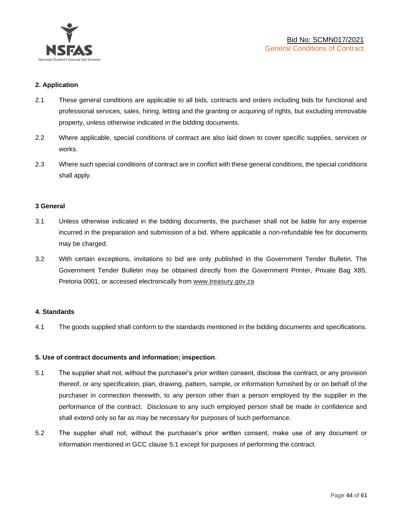

## **2. Application**

- 2.1 These general conditions are applicable to all bids, contracts and orders including bids for functional and professional services, sales, hiring, letting and the granting or acquiring of rights, but excluding immovable property, unless otherwise indicated in the bidding documents.
- 2.2 Where applicable, special conditions of contract are also laid down to cover specific supplies, services or works.
- 2.3 Where such special conditions of contract are in conflict with these general conditions, the special conditions shall apply.

#### **3 General**

- 3.1 Unless otherwise indicated in the bidding documents, the purchaser shall not be liable for any expense incurred in the preparation and submission of a bid. Where applicable a non-refundable fee for documents may be charged.
- 3.2 With certain exceptions, invitations to bid are only published in the Government Tender Bulletin. The Government Tender Bulletin may be obtained directly from the Government Printer, Private Bag X85, Pretoria 0001, or accessed electronically from [www.treasury.gov.za](http://www.treasury.gov.za/)

#### **4. Standards**

4.1 The goods supplied shall conform to the standards mentioned in the bidding documents and specifications.

#### **5. Use of contract documents and information; inspection**.

- 5.1 The supplier shall not, without the purchaser's prior written consent, disclose the contract, or any provision thereof, or any specification, plan, drawing, pattern, sample, or information furnished by or on behalf of the purchaser in connection therewith, to any person other than a person employed by the supplier in the performance of the contract. Disclosure to any such employed person shall be made in confidence and shall extend only so far as may be necessary for purposes of such performance.
- 5.2 The supplier shall not, without the purchaser's prior written consent, make use of any document or information mentioned in GCC clause 5.1 except for purposes of performing the contract.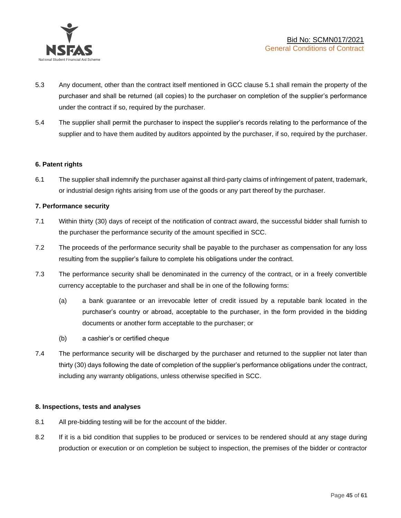

- 5.3 Any document, other than the contract itself mentioned in GCC clause 5.1 shall remain the property of the purchaser and shall be returned (all copies) to the purchaser on completion of the supplier's performance under the contract if so, required by the purchaser.
- 5.4 The supplier shall permit the purchaser to inspect the supplier's records relating to the performance of the supplier and to have them audited by auditors appointed by the purchaser, if so, required by the purchaser.

## **6. Patent rights**

6.1 The supplier shall indemnify the purchaser against all third-party claims of infringement of patent, trademark, or industrial design rights arising from use of the goods or any part thereof by the purchaser.

## **7. Performance security**

- 7.1 Within thirty (30) days of receipt of the notification of contract award, the successful bidder shall furnish to the purchaser the performance security of the amount specified in SCC.
- 7.2 The proceeds of the performance security shall be payable to the purchaser as compensation for any loss resulting from the supplier's failure to complete his obligations under the contract.
- 7.3 The performance security shall be denominated in the currency of the contract, or in a freely convertible currency acceptable to the purchaser and shall be in one of the following forms:
	- (a) a bank guarantee or an irrevocable letter of credit issued by a reputable bank located in the purchaser's country or abroad, acceptable to the purchaser, in the form provided in the bidding documents or another form acceptable to the purchaser; or
	- (b) a cashier's or certified cheque
- 7.4 The performance security will be discharged by the purchaser and returned to the supplier not later than thirty (30) days following the date of completion of the supplier's performance obligations under the contract, including any warranty obligations, unless otherwise specified in SCC.

#### **8. Inspections, tests and analyses**

- 8.1 All pre-bidding testing will be for the account of the bidder.
- 8.2 If it is a bid condition that supplies to be produced or services to be rendered should at any stage during production or execution or on completion be subject to inspection, the premises of the bidder or contractor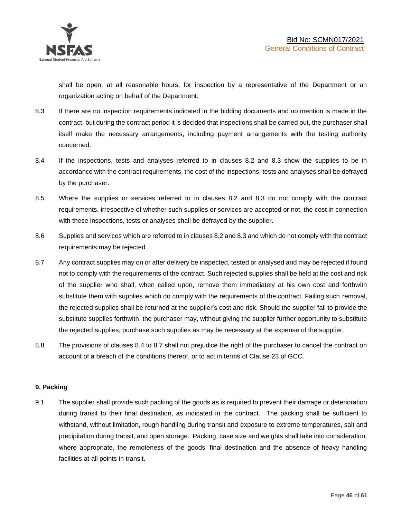shall be open, at all reasonable hours, for inspection by a representative of the Department or an organization acting on behalf of the Department.

- 8.3 If there are no inspection requirements indicated in the bidding documents and no mention is made in the contract, but during the contract period it is decided that inspections shall be carried out, the purchaser shall itself make the necessary arrangements, including payment arrangements with the testing authority concerned.
- 8.4 If the inspections, tests and analyses referred to in clauses 8.2 and 8.3 show the supplies to be in accordance with the contract requirements, the cost of the inspections, tests and analyses shall be defrayed by the purchaser.
- 8.5 Where the supplies or services referred to in clauses 8.2 and 8.3 do not comply with the contract requirements, irrespective of whether such supplies or services are accepted or not, the cost in connection with these inspections, tests or analyses shall be defrayed by the supplier.
- 8.6 Supplies and services which are referred to in clauses 8.2 and 8.3 and which do not comply with the contract requirements may be rejected.
- 8.7 Any contract supplies may on or after delivery be inspected, tested or analysed and may be rejected if found not to comply with the requirements of the contract. Such rejected supplies shall be held at the cost and risk of the supplier who shall, when called upon, remove them immediately at his own cost and forthwith substitute them with supplies which do comply with the requirements of the contract. Failing such removal, the rejected supplies shall be returned at the supplier's cost and risk. Should the supplier fail to provide the substitute supplies forthwith, the purchaser may, without giving the supplier further opportunity to substitute the rejected supplies, purchase such supplies as may be necessary at the expense of the supplier.
- 8.8 The provisions of clauses 8.4 to 8.7 shall not prejudice the right of the purchaser to cancel the contract on account of a breach of the conditions thereof, or to act in terms of Clause 23 of GCC.

## **9. Packing**

9.1 The supplier shall provide such packing of the goods as is required to prevent their damage or deterioration during transit to their final destination, as indicated in the contract. The packing shall be sufficient to withstand, without limitation, rough handling during transit and exposure to extreme temperatures, salt and precipitation during transit, and open storage. Packing, case size and weights shall take into consideration, where appropriate, the remoteness of the goods' final destination and the absence of heavy handling facilities at all points in transit.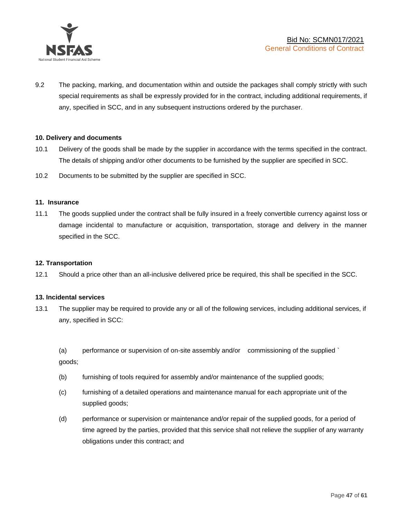

9.2 The packing, marking, and documentation within and outside the packages shall comply strictly with such special requirements as shall be expressly provided for in the contract, including additional requirements, if any, specified in SCC, and in any subsequent instructions ordered by the purchaser.

#### **10. Delivery and documents**

- 10.1 Delivery of the goods shall be made by the supplier in accordance with the terms specified in the contract. The details of shipping and/or other documents to be furnished by the supplier are specified in SCC.
- 10.2 Documents to be submitted by the supplier are specified in SCC.

#### **11. Insurance**

11.1 The goods supplied under the contract shall be fully insured in a freely convertible currency against loss or damage incidental to manufacture or acquisition, transportation, storage and delivery in the manner specified in the SCC.

#### **12. Transportation**

12.1 Should a price other than an all-inclusive delivered price be required, this shall be specified in the SCC.

#### **13. Incidental services**

13.1 The supplier may be required to provide any or all of the following services, including additional services, if any, specified in SCC:

(a) performance or supervision of on-site assembly and/or commissioning of the supplied ` goods;

- (b) furnishing of tools required for assembly and/or maintenance of the supplied goods;
- (c) furnishing of a detailed operations and maintenance manual for each appropriate unit of the supplied goods;
- (d) performance or supervision or maintenance and/or repair of the supplied goods, for a period of time agreed by the parties, provided that this service shall not relieve the supplier of any warranty obligations under this contract; and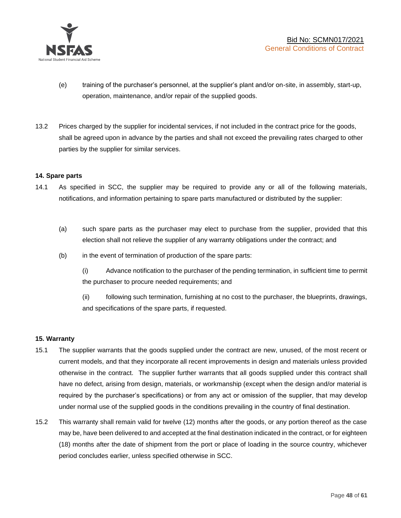

- (e) training of the purchaser's personnel, at the supplier's plant and/or on-site, in assembly, start-up, operation, maintenance, and/or repair of the supplied goods.
- 13.2 Prices charged by the supplier for incidental services, if not included in the contract price for the goods, shall be agreed upon in advance by the parties and shall not exceed the prevailing rates charged to other parties by the supplier for similar services.

## **14. Spare parts**

- 14.1 As specified in SCC, the supplier may be required to provide any or all of the following materials, notifications, and information pertaining to spare parts manufactured or distributed by the supplier:
	- (a) such spare parts as the purchaser may elect to purchase from the supplier, provided that this election shall not relieve the supplier of any warranty obligations under the contract; and
	- (b) in the event of termination of production of the spare parts:

(i) Advance notification to the purchaser of the pending termination, in sufficient time to permit the purchaser to procure needed requirements; and

(ii) following such termination, furnishing at no cost to the purchaser, the blueprints, drawings, and specifications of the spare parts, if requested.

#### **15. Warranty**

- 15.1 The supplier warrants that the goods supplied under the contract are new, unused, of the most recent or current models, and that they incorporate all recent improvements in design and materials unless provided otherwise in the contract. The supplier further warrants that all goods supplied under this contract shall have no defect, arising from design, materials, or workmanship (except when the design and/or material is required by the purchaser's specifications) or from any act or omission of the supplier, that may develop under normal use of the supplied goods in the conditions prevailing in the country of final destination.
- 15.2 This warranty shall remain valid for twelve (12) months after the goods, or any portion thereof as the case may be, have been delivered to and accepted at the final destination indicated in the contract, or for eighteen (18) months after the date of shipment from the port or place of loading in the source country, whichever period concludes earlier, unless specified otherwise in SCC.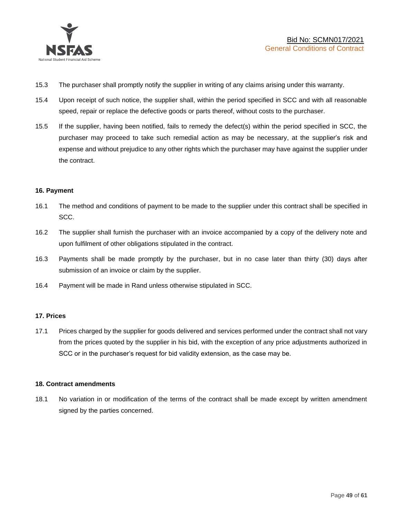

- 15.3 The purchaser shall promptly notify the supplier in writing of any claims arising under this warranty.
- 15.4 Upon receipt of such notice, the supplier shall, within the period specified in SCC and with all reasonable speed, repair or replace the defective goods or parts thereof, without costs to the purchaser.
- 15.5 If the supplier, having been notified, fails to remedy the defect(s) within the period specified in SCC, the purchaser may proceed to take such remedial action as may be necessary, at the supplier's risk and expense and without prejudice to any other rights which the purchaser may have against the supplier under the contract.

## **16. Payment**

- 16.1 The method and conditions of payment to be made to the supplier under this contract shall be specified in SCC.
- 16.2 The supplier shall furnish the purchaser with an invoice accompanied by a copy of the delivery note and upon fulfilment of other obligations stipulated in the contract.
- 16.3 Payments shall be made promptly by the purchaser, but in no case later than thirty (30) days after submission of an invoice or claim by the supplier.
- 16.4 Payment will be made in Rand unless otherwise stipulated in SCC.

#### **17. Prices**

17.1 Prices charged by the supplier for goods delivered and services performed under the contract shall not vary from the prices quoted by the supplier in his bid, with the exception of any price adjustments authorized in SCC or in the purchaser's request for bid validity extension, as the case may be.

#### **18. Contract amendments**

18.1 No variation in or modification of the terms of the contract shall be made except by written amendment signed by the parties concerned.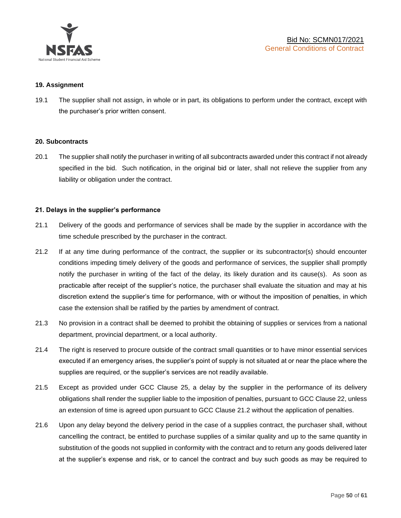

#### **19. Assignment**

19.1 The supplier shall not assign, in whole or in part, its obligations to perform under the contract, except with the purchaser's prior written consent.

#### **20. Subcontracts**

20.1 The supplier shall notify the purchaser in writing of all subcontracts awarded under this contract if not already specified in the bid. Such notification, in the original bid or later, shall not relieve the supplier from any liability or obligation under the contract.

#### **21. Delays in the supplier's performance**

- 21.1 Delivery of the goods and performance of services shall be made by the supplier in accordance with the time schedule prescribed by the purchaser in the contract.
- 21.2 If at any time during performance of the contract, the supplier or its subcontractor(s) should encounter conditions impeding timely delivery of the goods and performance of services, the supplier shall promptly notify the purchaser in writing of the fact of the delay, its likely duration and its cause(s). As soon as practicable after receipt of the supplier's notice, the purchaser shall evaluate the situation and may at his discretion extend the supplier's time for performance, with or without the imposition of penalties, in which case the extension shall be ratified by the parties by amendment of contract.
- 21.3 No provision in a contract shall be deemed to prohibit the obtaining of supplies or services from a national department, provincial department, or a local authority.
- 21.4 The right is reserved to procure outside of the contract small quantities or to have minor essential services executed if an emergency arises, the supplier's point of supply is not situated at or near the place where the supplies are required, or the supplier's services are not readily available.
- 21.5 Except as provided under GCC Clause 25, a delay by the supplier in the performance of its delivery obligations shall render the supplier liable to the imposition of penalties, pursuant to GCC Clause 22, unless an extension of time is agreed upon pursuant to GCC Clause 21.2 without the application of penalties.
- 21.6 Upon any delay beyond the delivery period in the case of a supplies contract, the purchaser shall, without cancelling the contract, be entitled to purchase supplies of a similar quality and up to the same quantity in substitution of the goods not supplied in conformity with the contract and to return any goods delivered later at the supplier's expense and risk, or to cancel the contract and buy such goods as may be required to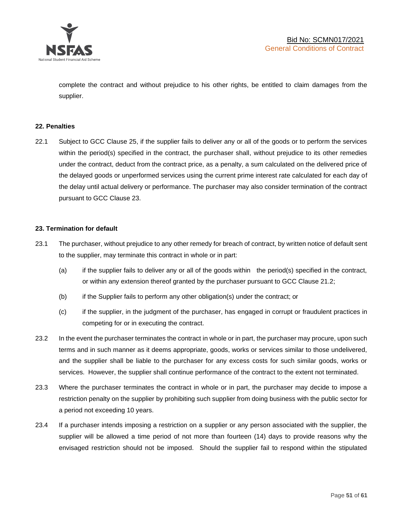

complete the contract and without prejudice to his other rights, be entitled to claim damages from the supplier.

#### **22. Penalties**

22.1 Subject to GCC Clause 25, if the supplier fails to deliver any or all of the goods or to perform the services within the period(s) specified in the contract, the purchaser shall, without prejudice to its other remedies under the contract, deduct from the contract price, as a penalty, a sum calculated on the delivered price of the delayed goods or unperformed services using the current prime interest rate calculated for each day of the delay until actual delivery or performance. The purchaser may also consider termination of the contract pursuant to GCC Clause 23.

## **23. Termination for default**

- 23.1 The purchaser, without prejudice to any other remedy for breach of contract, by written notice of default sent to the supplier, may terminate this contract in whole or in part:
	- (a) if the supplier fails to deliver any or all of the goods within the period(s) specified in the contract, or within any extension thereof granted by the purchaser pursuant to GCC Clause 21.2;
	- (b) if the Supplier fails to perform any other obligation(s) under the contract; or
	- (c) if the supplier, in the judgment of the purchaser, has engaged in corrupt or fraudulent practices in competing for or in executing the contract.
- 23.2 In the event the purchaser terminates the contract in whole or in part, the purchaser may procure, upon such terms and in such manner as it deems appropriate, goods, works or services similar to those undelivered, and the supplier shall be liable to the purchaser for any excess costs for such similar goods, works or services. However, the supplier shall continue performance of the contract to the extent not terminated.
- 23.3 Where the purchaser terminates the contract in whole or in part, the purchaser may decide to impose a restriction penalty on the supplier by prohibiting such supplier from doing business with the public sector for a period not exceeding 10 years.
- 23.4 If a purchaser intends imposing a restriction on a supplier or any person associated with the supplier, the supplier will be allowed a time period of not more than fourteen (14) days to provide reasons why the envisaged restriction should not be imposed. Should the supplier fail to respond within the stipulated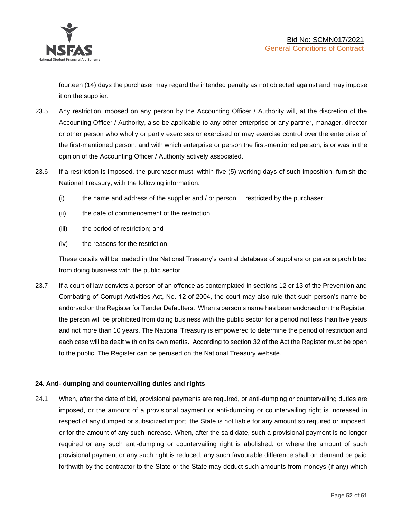

fourteen (14) days the purchaser may regard the intended penalty as not objected against and may impose it on the supplier.

- 23.5 Any restriction imposed on any person by the Accounting Officer / Authority will, at the discretion of the Accounting Officer / Authority, also be applicable to any other enterprise or any partner, manager, director or other person who wholly or partly exercises or exercised or may exercise control over the enterprise of the first-mentioned person, and with which enterprise or person the first-mentioned person, is or was in the opinion of the Accounting Officer / Authority actively associated.
- 23.6 If a restriction is imposed, the purchaser must, within five (5) working days of such imposition, furnish the National Treasury, with the following information:
	- (i) the name and address of the supplier and / or person restricted by the purchaser;
	- (ii) the date of commencement of the restriction
	- (iii) the period of restriction; and
	- (iv) the reasons for the restriction.

These details will be loaded in the National Treasury's central database of suppliers or persons prohibited from doing business with the public sector.

23.7 If a court of law convicts a person of an offence as contemplated in sections 12 or 13 of the Prevention and Combating of Corrupt Activities Act, No. 12 of 2004, the court may also rule that such person's name be endorsed on the Register for Tender Defaulters. When a person's name has been endorsed on the Register, the person will be prohibited from doing business with the public sector for a period not less than five years and not more than 10 years. The National Treasury is empowered to determine the period of restriction and each case will be dealt with on its own merits. According to section 32 of the Act the Register must be open to the public. The Register can be perused on the National Treasury website.

## **24. Anti- dumping and countervailing duties and rights**

24.1 When, after the date of bid, provisional payments are required, or anti-dumping or countervailing duties are imposed, or the amount of a provisional payment or anti-dumping or countervailing right is increased in respect of any dumped or subsidized import, the State is not liable for any amount so required or imposed, or for the amount of any such increase. When, after the said date, such a provisional payment is no longer required or any such anti-dumping or countervailing right is abolished, or where the amount of such provisional payment or any such right is reduced, any such favourable difference shall on demand be paid forthwith by the contractor to the State or the State may deduct such amounts from moneys (if any) which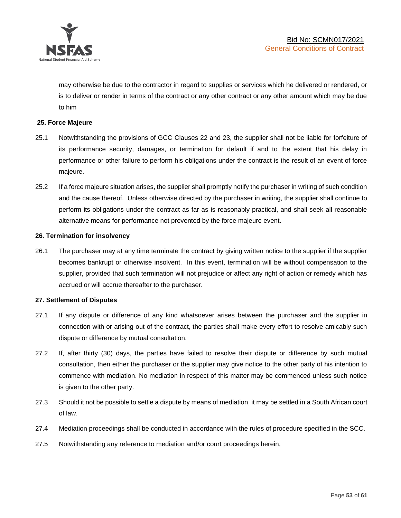

may otherwise be due to the contractor in regard to supplies or services which he delivered or rendered, or is to deliver or render in terms of the contract or any other contract or any other amount which may be due to him

## **25. Force Majeure**

- 25.1 Notwithstanding the provisions of GCC Clauses 22 and 23, the supplier shall not be liable for forfeiture of its performance security, damages, or termination for default if and to the extent that his delay in performance or other failure to perform his obligations under the contract is the result of an event of force majeure.
- 25.2 If a force majeure situation arises, the supplier shall promptly notify the purchaser in writing of such condition and the cause thereof. Unless otherwise directed by the purchaser in writing, the supplier shall continue to perform its obligations under the contract as far as is reasonably practical, and shall seek all reasonable alternative means for performance not prevented by the force majeure event.

#### **26. Termination for insolvency**

26.1 The purchaser may at any time terminate the contract by giving written notice to the supplier if the supplier becomes bankrupt or otherwise insolvent. In this event, termination will be without compensation to the supplier, provided that such termination will not prejudice or affect any right of action or remedy which has accrued or will accrue thereafter to the purchaser.

#### **27. Settlement of Disputes**

- 27.1 If any dispute or difference of any kind whatsoever arises between the purchaser and the supplier in connection with or arising out of the contract, the parties shall make every effort to resolve amicably such dispute or difference by mutual consultation.
- 27.2 If, after thirty (30) days, the parties have failed to resolve their dispute or difference by such mutual consultation, then either the purchaser or the supplier may give notice to the other party of his intention to commence with mediation. No mediation in respect of this matter may be commenced unless such notice is given to the other party.
- 27.3 Should it not be possible to settle a dispute by means of mediation, it may be settled in a South African court of law.
- 27.4 Mediation proceedings shall be conducted in accordance with the rules of procedure specified in the SCC.
- 27.5 Notwithstanding any reference to mediation and/or court proceedings herein,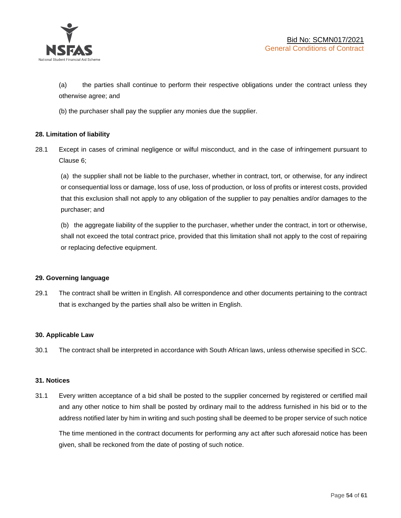

(a) the parties shall continue to perform their respective obligations under the contract unless they otherwise agree; and

(b) the purchaser shall pay the supplier any monies due the supplier.

## **28. Limitation of liability**

28.1 Except in cases of criminal negligence or wilful misconduct, and in the case of infringement pursuant to Clause 6;

(a) the supplier shall not be liable to the purchaser, whether in contract, tort, or otherwise, for any indirect or consequential loss or damage, loss of use, loss of production, or loss of profits or interest costs, provided that this exclusion shall not apply to any obligation of the supplier to pay penalties and/or damages to the purchaser; and

(b) the aggregate liability of the supplier to the purchaser, whether under the contract, in tort or otherwise, shall not exceed the total contract price, provided that this limitation shall not apply to the cost of repairing or replacing defective equipment.

#### **29. Governing language**

29.1 The contract shall be written in English. All correspondence and other documents pertaining to the contract that is exchanged by the parties shall also be written in English.

#### **30. Applicable Law**

30.1 The contract shall be interpreted in accordance with South African laws, unless otherwise specified in SCC.

#### **31. Notices**

31.1 Every written acceptance of a bid shall be posted to the supplier concerned by registered or certified mail and any other notice to him shall be posted by ordinary mail to the address furnished in his bid or to the address notified later by him in writing and such posting shall be deemed to be proper service of such notice

The time mentioned in the contract documents for performing any act after such aforesaid notice has been given, shall be reckoned from the date of posting of such notice.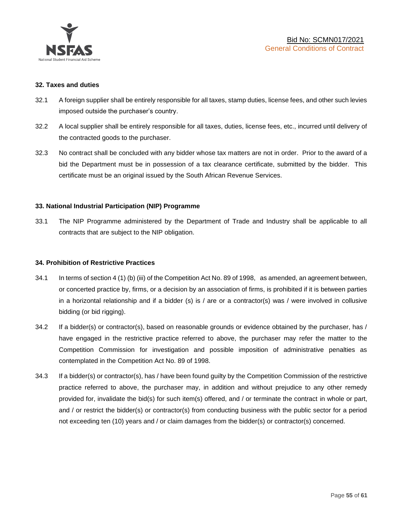

#### **32. Taxes and duties**

- 32.1 A foreign supplier shall be entirely responsible for all taxes, stamp duties, license fees, and other such levies imposed outside the purchaser's country.
- 32.2 A local supplier shall be entirely responsible for all taxes, duties, license fees, etc., incurred until delivery of the contracted goods to the purchaser.
- 32.3 No contract shall be concluded with any bidder whose tax matters are not in order. Prior to the award of a bid the Department must be in possession of a tax clearance certificate, submitted by the bidder. This certificate must be an original issued by the South African Revenue Services.

## **33. National Industrial Participation (NIP) Programme**

33.1 The NIP Programme administered by the Department of Trade and Industry shall be applicable to all contracts that are subject to the NIP obligation.

#### **34. Prohibition of Restrictive Practices**

- 34.1 In terms of section 4 (1) (b) (iii) of the Competition Act No. 89 of 1998, as amended, an agreement between, or concerted practice by, firms, or a decision by an association of firms, is prohibited if it is between parties in a horizontal relationship and if a bidder (s) is / are or a contractor(s) was / were involved in collusive bidding (or bid rigging).
- 34.2 If a bidder(s) or contractor(s), based on reasonable grounds or evidence obtained by the purchaser, has / have engaged in the restrictive practice referred to above, the purchaser may refer the matter to the Competition Commission for investigation and possible imposition of administrative penalties as contemplated in the Competition Act No. 89 of 1998.
- 34.3 If a bidder(s) or contractor(s), has / have been found guilty by the Competition Commission of the restrictive practice referred to above, the purchaser may, in addition and without prejudice to any other remedy provided for, invalidate the bid(s) for such item(s) offered, and / or terminate the contract in whole or part, and / or restrict the bidder(s) or contractor(s) from conducting business with the public sector for a period not exceeding ten (10) years and / or claim damages from the bidder(s) or contractor(s) concerned.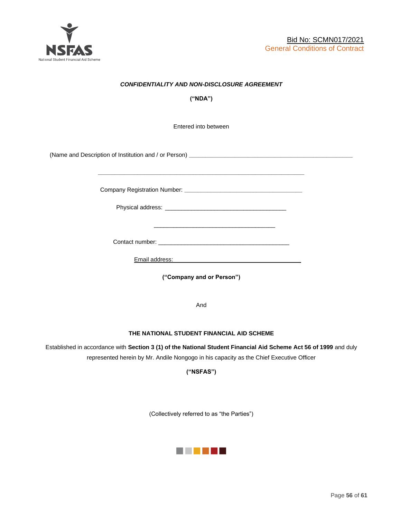

## *CONFIDENTIALITY AND NON-DISCLOSURE AGREEMENT*

**("NDA")**

Entered into between

(Name and Description of Institution and / or Person) **\_\_\_\_\_\_\_\_\_\_\_\_\_\_\_\_\_\_\_\_\_\_\_\_\_\_\_\_\_\_\_\_\_\_\_\_\_\_\_\_\_\_\_\_\_\_\_\_\_\_**

Company Registration Number: **\_\_\_\_\_\_\_\_\_\_\_\_\_\_\_\_\_\_\_\_\_\_\_\_\_\_\_\_\_\_\_\_\_\_\_\_**

 $\frac{1}{\sqrt{2}}$  ,  $\frac{1}{\sqrt{2}}$  ,  $\frac{1}{\sqrt{2}}$  ,  $\frac{1}{\sqrt{2}}$  ,  $\frac{1}{\sqrt{2}}$  ,  $\frac{1}{\sqrt{2}}$  ,  $\frac{1}{\sqrt{2}}$  ,  $\frac{1}{\sqrt{2}}$  ,  $\frac{1}{\sqrt{2}}$  ,  $\frac{1}{\sqrt{2}}$  ,  $\frac{1}{\sqrt{2}}$  ,  $\frac{1}{\sqrt{2}}$  ,  $\frac{1}{\sqrt{2}}$  ,  $\frac{1}{\sqrt{2}}$  ,  $\frac{1}{\sqrt{2}}$ 

Physical address: \_\_\_\_\_\_\_\_\_\_\_\_\_\_\_\_\_\_\_\_\_\_\_\_\_\_\_\_\_\_\_\_\_\_\_\_\_

**\_\_\_\_\_\_\_\_\_\_\_\_\_\_\_\_\_\_\_\_\_\_\_\_\_\_\_\_\_\_\_\_\_\_\_\_\_\_\_\_\_\_\_\_\_\_\_\_\_\_\_\_\_\_\_\_\_\_\_\_\_\_\_**

Contact number: \_\_\_\_\_\_\_\_\_\_\_\_\_\_\_\_\_\_\_\_\_\_\_\_\_\_\_\_\_\_\_\_\_\_\_\_\_\_\_\_

Email address: \_\_\_\_\_\_\_\_\_\_\_\_\_\_\_\_\_\_\_\_\_\_\_\_\_\_\_\_\_\_\_\_\_\_\_\_\_

**("Company and or Person")**

And

#### **THE NATIONAL STUDENT FINANCIAL AID SCHEME**

Established in accordance with **Section 3 (1) of the National Student Financial Aid Scheme Act 56 of 1999** and duly represented herein by Mr. Andile Nongogo in his capacity as the Chief Executive Officer

**("NSFAS")**

(Collectively referred to as "the Parties")

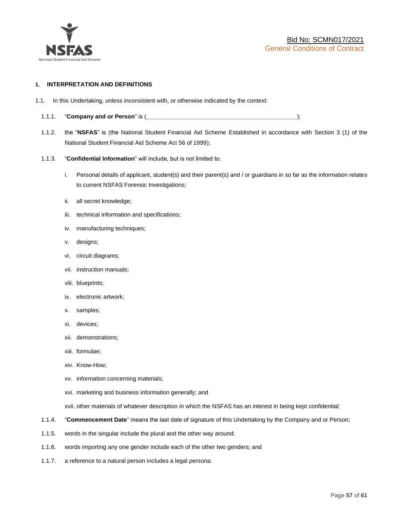

#### **1. INTERPRETATION AND DEFINITIONS**

- 1.1. In this Undertaking, unless inconsistent with, or otherwise indicated by the context:
	- 1.1.1. "**Company and or Person**" is (*\_\_\_\_\_\_\_\_\_\_\_\_\_\_\_\_\_\_\_\_\_\_\_\_\_\_\_\_\_\_\_\_\_\_\_\_\_\_\_\_\_\_\_\_\_\_*);
	- 1.1.2. the "**NSFAS**" is (the National Student Financial Aid Scheme Established in accordance with Section 3 (1) of the National Student Financial Aid Scheme Act 56 of 1999);
	- 1.1.3. "**Confidential Information**" will include, but is not limited to:
		- i. Personal details of applicant, student(s) and their parent(s) and / or guardians in so far as the information relates to current NSFAS Forensic Investigations;
		- ii. all secret knowledge;
		- iii. technical information and specifications;
		- iv. manufacturing techniques;
		- v. designs;
		- vi. circuit diagrams;
		- vii. instruction manuals;
		- viii. blueprints;
		- ix. electronic artwork;
		- x. samples;
		- xi. devices;
		- xii. demonstrations;
		- xiii. formulae;
		- xiv. Know-How;
		- xv. information concerning materials;
		- xvi. marketing and business information generally; and
		- xvii. other materials of whatever description in which the NSFAS has an interest in being kept confidential;
	- 1.1.4. "**Commencement Date**" means the last date of signature of this Undertaking by the Company and or Person;
	- 1.1.5. words in the singular include the plural and the other way around;
	- 1.1.6. words importing any one gender include each of the other two genders; and
	- 1.1.7. a reference to a natural person includes a legal *persona*.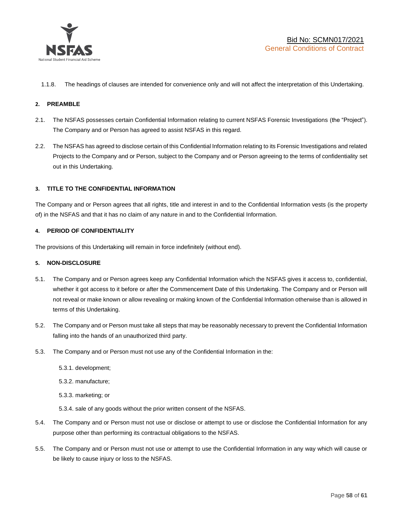

1.1.8. The headings of clauses are intended for convenience only and will not affect the interpretation of this Undertaking.

#### **2. PREAMBLE**

- 2.1. The NSFAS possesses certain Confidential Information relating to current NSFAS Forensic Investigations (the "Project"). The Company and or Person has agreed to assist NSFAS in this regard.
- 2.2. The NSFAS has agreed to disclose certain of this Confidential Information relating to its Forensic Investigations and related Projects to the Company and or Person, subject to the Company and or Person agreeing to the terms of confidentiality set out in this Undertaking.

#### **3. TITLE TO THE CONFIDENTIAL INFORMATION**

The Company and or Person agrees that all rights, title and interest in and to the Confidential Information vests (is the property of) in the NSFAS and that it has no claim of any nature in and to the Confidential Information.

#### **4. PERIOD OF CONFIDENTIALITY**

The provisions of this Undertaking will remain in force indefinitely (without end).

#### **5. NON-DISCLOSURE**

- 5.1. The Company and or Person agrees keep any Confidential Information which the NSFAS gives it access to, confidential, whether it got access to it before or after the Commencement Date of this Undertaking. The Company and or Person will not reveal or make known or allow revealing or making known of the Confidential Information otherwise than is allowed in terms of this Undertaking.
- 5.2. The Company and or Person must take all steps that may be reasonably necessary to prevent the Confidential Information falling into the hands of an unauthorized third party.
- 5.3. The Company and or Person must not use any of the Confidential Information in the:
	- 5.3.1. development;
	- 5.3.2. manufacture;
	- 5.3.3. marketing; or
	- 5.3.4. sale of any goods without the prior written consent of the NSFAS.
- 5.4. The Company and or Person must not use or disclose or attempt to use or disclose the Confidential Information for any purpose other than performing its contractual obligations to the NSFAS.
- 5.5. The Company and or Person must not use or attempt to use the Confidential Information in any way which will cause or be likely to cause injury or loss to the NSFAS.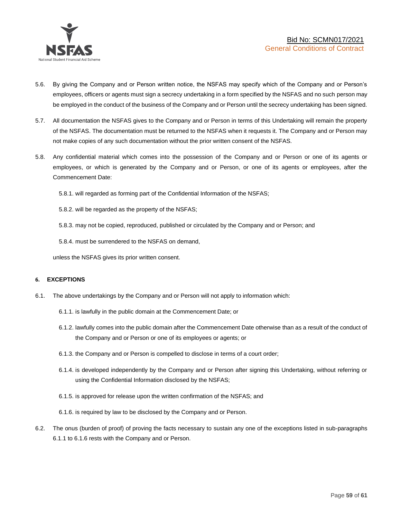

- 5.6. By giving the Company and or Person written notice, the NSFAS may specify which of the Company and or Person's employees, officers or agents must sign a secrecy undertaking in a form specified by the NSFAS and no such person may be employed in the conduct of the business of the Company and or Person until the secrecy undertaking has been signed.
- 5.7. All documentation the NSFAS gives to the Company and or Person in terms of this Undertaking will remain the property of the NSFAS. The documentation must be returned to the NSFAS when it requests it. The Company and or Person may not make copies of any such documentation without the prior written consent of the NSFAS.
- 5.8. Any confidential material which comes into the possession of the Company and or Person or one of its agents or employees, or which is generated by the Company and or Person, or one of its agents or employees, after the Commencement Date:

5.8.1. will regarded as forming part of the Confidential Information of the NSFAS;

5.8.2. will be regarded as the property of the NSFAS;

5.8.3. may not be copied, reproduced, published or circulated by the Company and or Person; and

5.8.4. must be surrendered to the NSFAS on demand,

unless the NSFAS gives its prior written consent.

#### **6. EXCEPTIONS**

- 6.1. The above undertakings by the Company and or Person will not apply to information which:
	- 6.1.1. is lawfully in the public domain at the Commencement Date; or
	- 6.1.2. lawfully comes into the public domain after the Commencement Date otherwise than as a result of the conduct of the Company and or Person or one of its employees or agents; or
	- 6.1.3. the Company and or Person is compelled to disclose in terms of a court order;
	- 6.1.4. is developed independently by the Company and or Person after signing this Undertaking, without referring or using the Confidential Information disclosed by the NSFAS;
	- 6.1.5. is approved for release upon the written confirmation of the NSFAS; and
	- 6.1.6. is required by law to be disclosed by the Company and or Person.
- 6.2. The onus (burden of proof) of proving the facts necessary to sustain any one of the exceptions listed in sub-paragraphs 6.1.1 to 6.1.6 rests with the Company and or Person.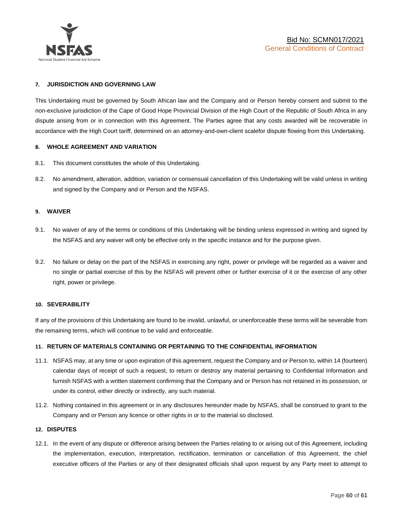

#### **7. JURISDICTION AND GOVERNING LAW**

This Undertaking must be governed by South African law and the Company and or Person hereby consent and submit to the non-exclusive jurisdiction of the Cape of Good Hope Provincial Division of the High Court of the Republic of South Africa in any dispute arising from or in connection with this Agreement. The Parties agree that any costs awarded will be recoverable in accordance with the High Court tariff, determined on an attorney-and-own-client scalefor dispute flowing from this Undertaking.

#### **8. WHOLE AGREEMENT AND VARIATION**

- 8.1. This document constitutes the whole of this Undertaking.
- 8.2. No amendment, alteration, addition, variation or consensual cancellation of this Undertaking will be valid unless in writing and signed by the Company and or Person and the NSFAS.

#### **9. WAIVER**

- 9.1. No waiver of any of the terms or conditions of this Undertaking will be binding unless expressed in writing and signed by the NSFAS and any waiver will only be effective only in the specific instance and for the purpose given.
- 9.2. No failure or delay on the part of the NSFAS in exercising any right, power or privilege will be regarded as a waiver and no single or partial exercise of this by the NSFAS will prevent other or further exercise of it or the exercise of any other right, power or privilege.

#### **10. SEVERABILITY**

If any of the provisions of this Undertaking are found to be invalid, unlawful, or unenforceable these terms will be severable from the remaining terms, which will continue to be valid and enforceable.

#### **11. RETURN OF MATERIALS CONTAINING OR PERTAINING TO THE CONFIDENTIAL INFORMATION**

- 11.1. NSFAS may, at any time or upon expiration of this agreement, request the Company and or Person to, within 14 (fourteen) calendar days of receipt of such a request, to return or destroy any material pertaining to Confidential Information and furnish NSFAS with a written statement confirming that the Company and or Person has not retained in its possession, or under its control, either directly or indirectly, any such material.
- 11.2. Nothing contained in this agreement or in any disclosures hereunder made by NSFAS, shall be construed to grant to the Company and or Person any licence or other rights in or to the material so disclosed.

#### **12. DISPUTES**

12.1. In the event of any dispute or difference arising between the Parties relating to or arising out of this Agreement, including the implementation, execution, interpretation, rectification, termination or cancellation of this Agreement, the chief executive officers of the Parties or any of their designated officials shall upon request by any Party meet to attempt to